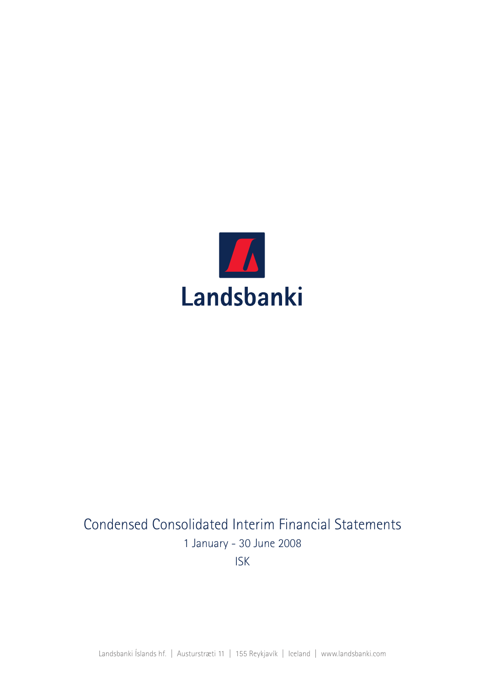

# Condensed Consolidated Interim Financial Statements 1 January - 30 June 2008 ISK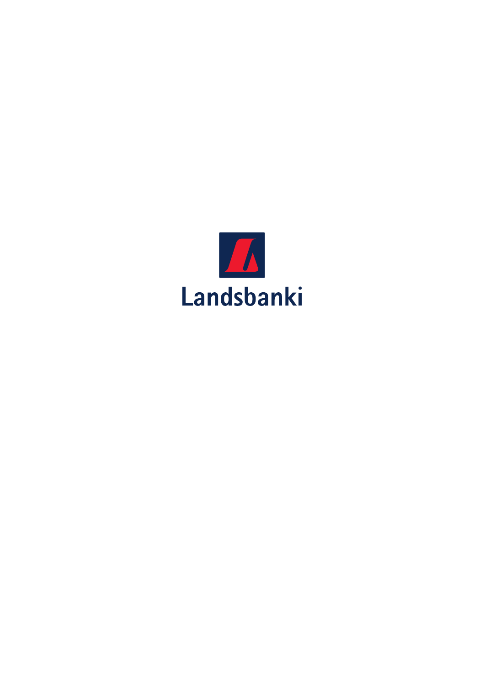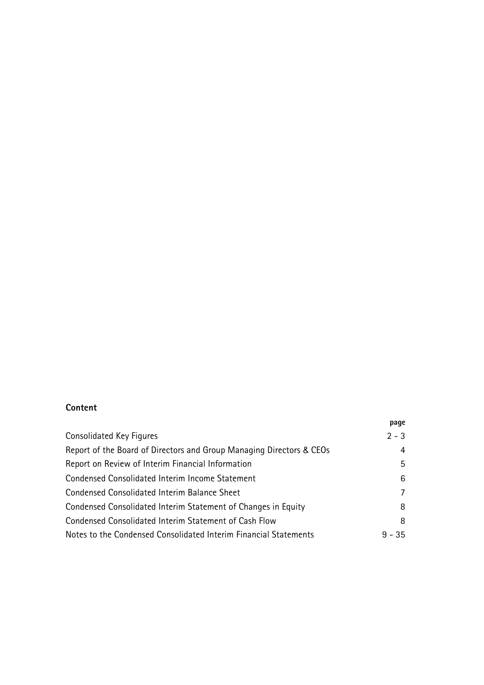### Content

|                                                                      | page     |
|----------------------------------------------------------------------|----------|
| Consolidated Key Figures                                             | $2 - 3$  |
| Report of the Board of Directors and Group Managing Directors & CEOs | 4        |
| Report on Review of Interim Financial Information                    | 5        |
| Condensed Consolidated Interim Income Statement                      | 6        |
| Condensed Consolidated Interim Balance Sheet                         | 7        |
| Condensed Consolidated Interim Statement of Changes in Equity        | 8        |
| Condensed Consolidated Interim Statement of Cash Flow                | 8        |
| Notes to the Condensed Consolidated Interim Financial Statements     | $9 - 35$ |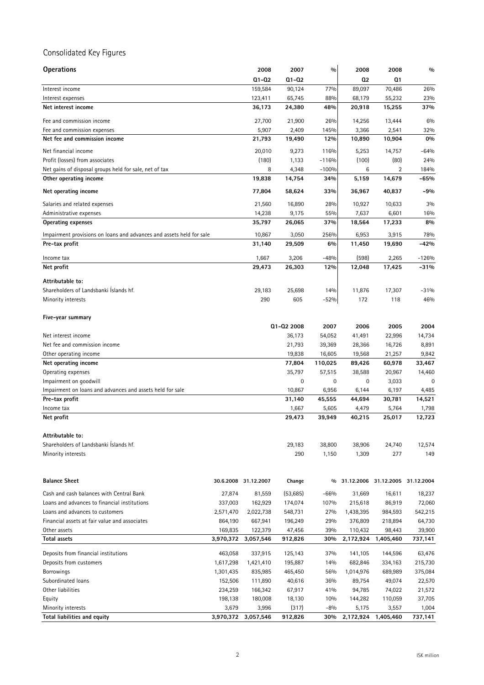## Consolidated Key Figures

| <b>Operations</b>                                                    |           | 2008                 | 2007       | $\frac{0}{0}$ | 2008            | 2008                             | 0/0      |
|----------------------------------------------------------------------|-----------|----------------------|------------|---------------|-----------------|----------------------------------|----------|
|                                                                      |           | $Q1 - Q2$            | Q1-Q2      |               | Q <sub>2</sub>  | Q1                               |          |
| Interest income                                                      |           | 159,584              | 90,124     | 77%           | 89,097          | 70,486                           | 26%      |
| Interest expenses                                                    |           | 123,411              | 65,745     | 88%           | 68,179          | 55,232                           | 23%      |
| Net interest income                                                  |           | 36,173               | 24,380     | 48%           | 20,918          | 15,255                           | 37%      |
| Fee and commission income                                            |           | 27,700               | 21,900     | 26%           | 14,256          | 13,444                           | 6%       |
| Fee and commission expenses                                          |           | 5,907                | 2,409      | 145%          | 3,366           | 2,541                            | 32%      |
| Net fee and commission income                                        |           | 21,793               | 19,490     | 12%           | 10,890          | 10,904                           | 0%       |
| Net financial income                                                 |           | 20,010               | 9,273      | 116%          | 5,253           | 14,757                           | $-64%$   |
| Profit (losses) from associates                                      |           | (180)                | 1,133      | $-116%$       | (100)           | (80)                             | 24%      |
| Net gains of disposal groups held for sale, net of tax               |           | 8                    | 4,348      | $-100%$       | 6               | 2                                | 184%     |
| Other operating income                                               |           | 19,838               | 14,754     | 34%           | 5,159           | 14,679                           | $-65%$   |
| Net operating income                                                 |           | 77,804               | 58,624     | 33%           | 36,967          | 40,837                           | $-9%$    |
| Salaries and related expenses                                        |           | 21,560               | 16,890     | 28%           | 10,927          | 10,633                           | 3%       |
| Administrative expenses                                              |           | 14,238               | 9,175      | 55%           | 7,637           | 6,601                            | 16%      |
| <b>Operating expenses</b>                                            |           | 35,797               | 26,065     | 37%           | 18,564          | 17,233                           | 8%       |
| Impairment provisions on loans and advances and assets held for sale |           | 10,867               | 3,050      | 256%          |                 |                                  | 78%      |
| Pre-tax profit                                                       |           | 31,140               | 29,509     | 6%            | 6,953<br>11,450 | 3,915<br>19,690                  | $-42%$   |
|                                                                      |           |                      |            |               |                 |                                  |          |
| Income tax                                                           |           | 1,667                | 3,206      | $-48%$        | (598)           | 2,265                            | $-126%$  |
| Net profit                                                           |           | 29,473               | 26,303     | 12%           | 12,048          | 17,425                           | $-31%$   |
| Attributable to:                                                     |           |                      |            |               |                 |                                  |          |
| Shareholders of Landsbanki İslands hf.                               |           | 29,183               | 25,698     | 14%           | 11,876          | 17,307                           | $-31%$   |
| Minority interests                                                   |           | 290                  | 605        | $-52%$        | 172             | 118                              | 46%      |
|                                                                      |           |                      |            |               |                 |                                  |          |
| Five-year summary                                                    |           |                      |            |               |                 |                                  |          |
|                                                                      |           |                      | Q1-Q2 2008 | 2007          | 2006            | 2005                             | 2004     |
| Net interest income                                                  |           |                      | 36,173     | 54,052        | 41,491          | 22,996                           | 14,734   |
| Net fee and commission income                                        |           |                      | 21,793     | 39,369        | 28,366          | 16,726                           | 8,891    |
| Other operating income                                               |           |                      | 19,838     | 16,605        | 19,568          | 21,257                           | 9,842    |
| Net operating income                                                 |           |                      | 77,804     | 110,025       | 89,426          | 60,978                           | 33,467   |
| Operating expenses                                                   |           |                      | 35,797     | 57,515        | 38,588          | 20,967                           | 14,460   |
| Impairment on goodwill                                               |           |                      | 0          | 0             | 0               | 3,033                            | $\Omega$ |
| Impairment on loans and advances and assets held for sale            |           |                      | 10,867     | 6,956         | 6,144           | 6,197                            | 4,485    |
| Pre-tax profit                                                       |           |                      | 31,140     | 45,555        | 44,694          | 30,781                           | 14,521   |
| Income tax                                                           |           |                      | 1,667      | 5,605         | 4,479           | 5,764                            | 1,798    |
| Net profit                                                           |           |                      | 29,473     | 39,949        | 40,215          | 25,017                           | 12,723   |
| Attributable to:                                                     |           |                      |            |               |                 |                                  |          |
| Shareholders of Landsbanki İslands hf.                               |           |                      | 29,183     | 38,800        | 38,906          | 24,740                           | 12,574   |
| Minority interests                                                   |           |                      | 290        | 1,150         | 1,309           | 277                              | 149      |
|                                                                      |           |                      |            |               |                 |                                  |          |
|                                                                      |           |                      |            |               |                 |                                  |          |
| <b>Balance Sheet</b>                                                 |           | 30.6.2008 31.12.2007 | Change     | $\frac{0}{0}$ |                 | 31.12.2006 31.12.2005 31.12.2004 |          |
| Cash and cash balances with Central Bank                             | 27,874    | 81,559               | (53,685)   | $-66%$        | 31,669          | 16,611                           | 18,237   |
| Loans and advances to financial institutions                         | 337,003   | 162,929              | 174,074    | 107%          | 215,618         | 86,919                           | 72,060   |
| Loans and advances to customers                                      | 2,571,470 | 2,022,738            | 548,731    | 27%           | 1,438,395       | 984,593                          | 542,215  |
| Financial assets at fair value and associates                        | 864,190   | 667,941              | 196,249    | 29%           | 376,809         | 218,894                          | 64,730   |
| Other assets                                                         | 169,835   | 122,379              | 47,456     | 39%           | 110,432         | 98,443                           | 39,900   |
| <b>Total assets</b>                                                  | 3,970,372 | 3,057,546            | 912,826    | 30%           | 2,172,924       | 1,405,460                        | 737,141  |
| Deposits from financial institutions                                 | 463,058   | 337,915              | 125,143    | 37%           | 141,105         | 144,596                          | 63,476   |
| Deposits from customers                                              | 1,617,298 | 1,421,410            | 195,887    | 14%           | 682,846         | 334,163                          | 215,730  |
| <b>Borrowings</b>                                                    | 1,301,435 | 835,985              | 465,450    | 56%           | 1,014,976       | 689,989                          | 375,084  |
| Subordinated loans                                                   | 152,506   | 111,890              | 40,616     | 36%           | 89,754          | 49,074                           | 22,570   |
| Other liabilities                                                    | 234,259   | 166,342              | 67,917     | 41%           | 94,785          | 74,022                           | 21,572   |
| Equity                                                               | 198,138   | 180,008              | 18,130     | 10%           | 144,282         | 110,059                          | 37,705   |
| Minority interests                                                   | 3,679     | 3,996                | (317)      | $-8%$         | 5,175           | 3,557                            | 1,004    |
| <b>Total liabilities and equity</b>                                  | 3,970,372 | 3,057,546            | 912,826    | 30%           | 2,172,924       | 1,405,460                        | 737,141  |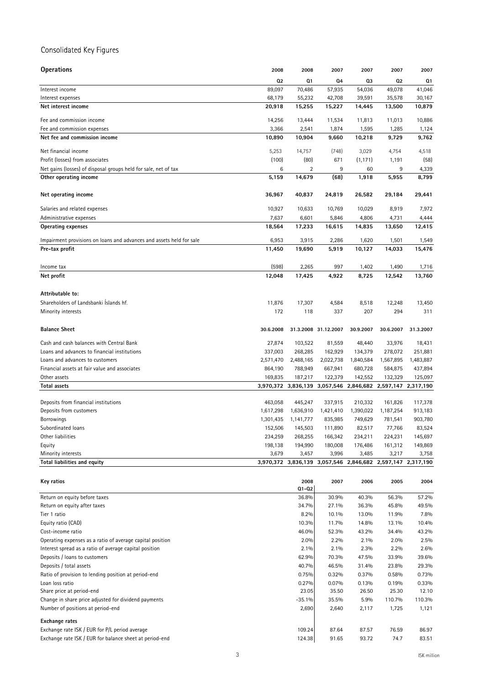### Consolidated Key Figures

| <b>Operations</b>                                                    | 2008      | 2008                | 2007                 | 2007                                    | 2007      | 2007           |
|----------------------------------------------------------------------|-----------|---------------------|----------------------|-----------------------------------------|-----------|----------------|
|                                                                      | 02        | Q1                  | 04                   | Q3                                      | 02        | Q <sub>1</sub> |
| Interest income                                                      | 89,097    | 70,486              | 57,935               | 54,036                                  | 49,078    | 41,046         |
| Interest expenses                                                    | 68,179    | 55,232              | 42,708               | 39,591                                  | 35,578    | 30,167         |
| Net interest income                                                  | 20,918    | 15,255              | 15,227               | 14,445                                  | 13,500    | 10,879         |
| Fee and commission income                                            | 14,256    | 13,444              | 11,534               | 11,813                                  | 11,013    | 10,886         |
| Fee and commission expenses                                          | 3,366     | 2,541               | 1,874                | 1,595                                   | 1,285     | 1,124          |
| Net fee and commission income                                        | 10,890    | 10,904              | 9,660                | 10,218                                  | 9,729     | 9,762          |
| Net financial income                                                 | 5,253     | 14,757              | (748)                | 3,029                                   | 4,754     | 4,518          |
| Profit (losses) from associates                                      | (100)     | (80)                | 671                  | (1, 171)                                | 1,191     | (58)           |
| Net gains (losses) of disposal groups held for sale, net of tax      | 6         | $\overline{2}$      | 9                    | 60                                      | 9         | 4,339          |
| Other operating income                                               | 5,159     | 14,679              | (68)                 | 1,918                                   | 5,955     | 8,799          |
|                                                                      |           |                     |                      |                                         |           |                |
| Net operating income                                                 | 36,967    | 40,837              | 24,819               | 26,582                                  | 29,184    | 29,441         |
| Salaries and related expenses                                        | 10,927    | 10,633              | 10,769               | 10,029                                  | 8,919     | 7,972          |
| Administrative expenses                                              | 7,637     | 6,601               | 5,846                | 4,806                                   | 4,731     | 4,444          |
| <b>Operating expenses</b>                                            | 18,564    | 17,233              | 16,615               | 14,835                                  | 13,650    | 12,415         |
| Impairment provisions on loans and advances and assets held for sale | 6,953     | 3,915               | 2,286                | 1,620                                   | 1,501     | 1,549          |
| Pre-tax profit                                                       | 11,450    | 19,690              | 5,919                | 10,127                                  | 14,033    | 15,476         |
|                                                                      |           |                     |                      |                                         |           |                |
| Income tax                                                           | (598)     | 2,265               | 997                  | 1,402                                   | 1,490     | 1,716          |
| Net profit                                                           | 12,048    | 17,425              | 4,922                | 8,725                                   | 12,542    | 13,760         |
| Attributable to:                                                     |           |                     |                      |                                         |           |                |
| Shareholders of Landsbanki Islands hf.                               | 11,876    | 17,307              | 4,584                | 8,518                                   | 12,248    | 13,450         |
| Minority interests                                                   | 172       | 118                 | 337                  | 207                                     | 294       | 311            |
| <b>Balance Sheet</b>                                                 | 30.6.2008 |                     | 31.3.2008 31.12.2007 | 30.9.2007                               | 30.6.2007 | 31.3.2007      |
| Cash and cash balances with Central Bank                             | 27,874    | 103,522             | 81,559               | 48,440                                  | 33,976    | 18,431         |
| Loans and advances to financial institutions                         | 337,003   | 268,285             | 162,929              | 134,379                                 | 278,072   | 251,881        |
| Loans and advances to customers                                      | 2,571,470 | 2,488,165           | 2,022,738            | 1,840,584                               | 1,567,895 | 1,483,887      |
| Financial assets at fair value and associates                        | 864,190   | 788,949             | 667,941              | 680,728                                 | 584,875   | 437,894        |
| Other assets                                                         | 169,835   | 187,217             | 122,379              | 142,552                                 | 132,329   | 125,097        |
| <b>Total assets</b>                                                  |           | 3,970,372 3,836,139 | 3,057,546            | 2,846,682                               | 2,597,147 | 2,317,190      |
|                                                                      |           |                     |                      |                                         |           |                |
| Deposits from financial institutions                                 | 463,058   | 445,247             | 337,915              | 210,332                                 | 161,826   | 117,378        |
| Deposits from customers                                              | 1,617,298 | 1,636,910           | 1,421,410            | 1,390,022                               | 1,187,254 | 913,183        |
| <b>Borrowings</b>                                                    | 1,301,435 | 1,141,777           | 835,985              | 749,629                                 | 781,541   | 903,780        |
| Subordinated loans                                                   | 152,506   | 145,503             | 111,890              | 82,517                                  | 77,766    | 83,524         |
| Other liabilities                                                    | 234,259   | 268,255             | 166,342              | 234,211                                 | 224,231   | 145,697        |
| Equity                                                               | 198,138   | 194,990             | 180,008              | 176,486                                 | 161,312   | 149,869        |
| Minority interests                                                   | 3,679     | 3,457               | 3,996                | 3,485                                   | 3,217     | 3,758          |
| Total liabilities and equity                                         |           | 3,970,372 3,836,139 |                      | 3,057,546 2,846,682 2,597,147 2,317,190 |           |                |
| Key ratios                                                           |           | 2008                | 2007                 | 2006                                    | 2005      | 2004           |
|                                                                      |           | $Q1 - Q2$           |                      |                                         |           |                |
| Return on equity before taxes                                        |           | 36.8%               | 30.9%                | 40.3%                                   | 56.3%     | 57.2%          |
| Return on equity after taxes                                         |           | 34.7%               | 27.1%                | 36.3%                                   | 45.8%     | 49.5%          |
| Tier 1 ratio                                                         |           | 8.2%                | 10.1%                | 13.0%                                   | 11.9%     | 7.8%           |
| Equity ratio (CAD)                                                   |           | 10.3%               | 11.7%                | 14.8%                                   | 13.1%     | 10.4%          |
| Cost-income ratio                                                    |           | 46.0%               | 52.3%                | 43.2%                                   | 34.4%     | 43.2%          |
| Operating expenses as a ratio of average capital position            |           | 2.0%                | 2.2%                 | 2.1%                                    | 2.0%      | 2.5%           |
| Interest spread as a ratio of average capital position               |           | 2.1%                | 2.1%                 | 2.3%                                    | 2.2%      | 2.6%           |
|                                                                      |           |                     |                      |                                         |           |                |
| Deposits / loans to customers                                        |           | 62.9%               | 70.3%                | 47.5%                                   | 33.9%     | 39.6%          |
| Deposits / total assets                                              |           | 40.7%               | 46.5%                | 31.4%                                   | 23.8%     | 29.3%          |
| Ratio of provision to lending position at period-end                 |           | 0.75%               | 0.32%                | 0.37%                                   | 0.58%     | 0.73%          |
| Loan loss ratio                                                      |           | 0.27%               | 0.07%                | 0.13%                                   | 0.19%     | 0.33%          |
| Share price at period-end                                            |           | 23.05               | 35.50                | 26.50                                   | 25.30     | 12.10          |
| Change in share price adjusted for dividend payments                 |           | $-35.1%$            | 35.5%                | 5.9%                                    | 110.7%    | 110.3%         |
| Number of positions at period-end                                    |           | 2,690               | 2,640                | 2,117                                   | 1,725     | 1,121          |
| <b>Exchange rates</b>                                                |           |                     |                      |                                         |           |                |
| Exchange rate ISK / EUR for P/L period average                       |           | 109.24              | 87.64                | 87.57                                   | 76.59     | 86.97          |
| Exchange rate ISK / EUR for balance sheet at period-end              |           | 124.38              | 91.65                | 93.72                                   | 74.7      | 83.51          |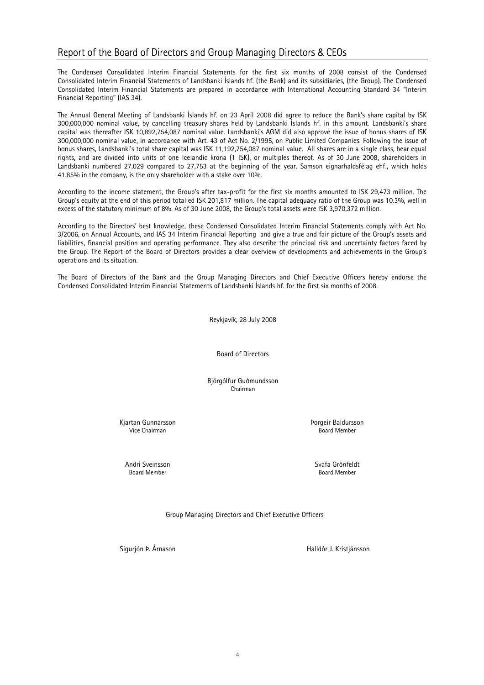### Report of the Board of Directors and Group Managing Directors & CEOs

The Condensed Consolidated Interim Financial Statements for the first six months of 2008 consist of the Condensed Consolidated Interim Financial Statements of Landsbanki Íslands hf. (the Bank) and its subsidiaries, (the Group). The Condensed Consolidated Interim Financial Statements are prepared in accordance with International Accounting Standard 34 "Interim Financial Reporting" (IAS 34).

The Annual General Meeting of Landsbanki Íslands hf. on 23 April 2008 did agree to reduce the Bank's share capital by ISK 300,000,000 nominal value, by cancelling treasury shares held by Landsbanki Íslands hf. in this amount. Landsbanki's share capital was thereafter ISK 10,892,754,087 nominal value. Landsbanki's AGM did also approve the issue of bonus shares of ISK 300,000,000 nominal value, in accordance with Art. 43 of Act No. 2/1995, on Public Limited Companies. Following the issue of bonus shares, Landsbanki's total share capital was ISK 11,192,754,087 nominal value. All shares are in a single class, bear equal rights, and are divided into units of one Icelandic krona (1 ISK), or multiples thereof. As of 30 June 2008, shareholders in Landsbanki numbered 27,029 compared to 27,753 at the beginning of the year. Samson eignarhaldsfélag ehf., which holds 41.85% in the company, is the only shareholder with a stake over 10%.

According to the income statement, the Group's after tax-profit for the first six months amounted to ISK 29,473 million. The Group's equity at the end of this period totalled ISK 201,817 million. The capital adequacy ratio of the Group was 10.3%, well in excess of the statutory minimum of 8%. As of 30 June 2008, the Group's total assets were ISK 3,970,372 million.

According to the Directors' best knowledge, these Condensed Consolidated Interim Financial Statements comply with Act No. 3/2006, on Annual Accounts, and IAS 34 Interim Financial Reporting and give a true and fair picture of the Group's assets and liabilities, financial position and operating performance. They also describe the principal risk and uncertainty factors faced by the Group. The Report of the Board of Directors provides a clear overview of developments and achievements in the Group's operations and its situation.

The Board of Directors of the Bank and the Group Managing Directors and Chief Executive Officers hereby endorse the Condensed Consolidated Interim Financial Statements of Landsbanki Íslands hf. for the first six months of 2008.

Reykjavík, 28 July 2008

Board of Directors

Björgólfur Guðmundsson Chairman

Kjartan Gunnarsson **Van Einester Schwarter auf der Schwarter Baldursson** Vice Chairman **Board Member** School and The Chairman Board Member

Andri Sveinsson Svafa Grönfeldt **Board Member** 

Group Managing Directors and Chief Executive Officers

Sigurjón Þ. Árnason Malldór J. Kristjánsson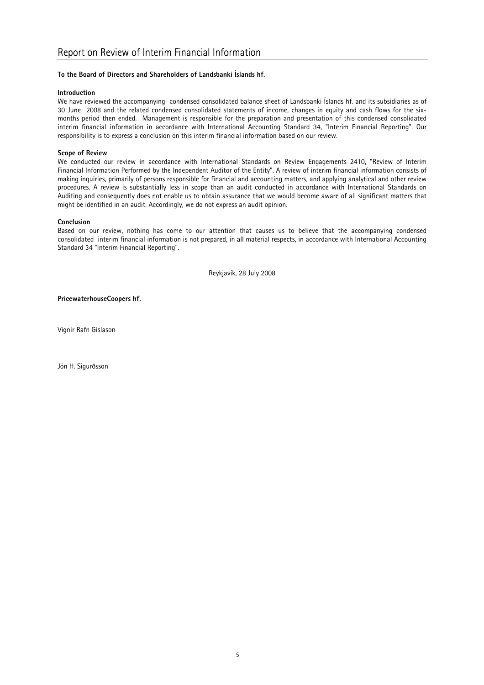### To the Board of Directors and Shareholders of Landsbanki Íslands hf.

### Introduction

We have reviewed the accompanying condensed consolidated balance sheet of Landsbanki Íslands hf. and its subsidiaries as of 30 June 2008 and the related condensed consolidated statements of income, changes in equity and cash flows for the sixmonths period then ended. Management is responsible for the preparation and presentation of this condensed consolidated interim financial information in accordance with International Accounting Standard 34, "Interim Financial Reporting". Our responsibility is to express a conclusion on this interim financial information based on our review.

### Scope of Review

We conducted our review in accordance with International Standards on Review Engagements 2410, "Review of Interim Financial Information Performed by the Independent Auditor of the Entity". A review of interim financial information consists of making inquiries, primarily of persons responsible for financial and accounting matters, and applying analytical and other review procedures. A review is substantially less in scope than an audit conducted in accordance with International Standards on Auditing and consequently does not enable us to obtain assurance that we would become aware of all significant matters that might be identified in an audit. Accordingly, we do not express an audit opinion.

#### Conclusion

Based on our review, nothing has come to our attention that causes us to believe that the accompanying condensed consolidated interim financial information is not prepared, in all material respects, in accordance with International Accounting Standard 34 "Interim Financial Reporting".

Reykjavík, 28 July 2008

PricewaterhouseCoopers hf.

Vignir Rafn Gíslason

Jón H. Sigurðsson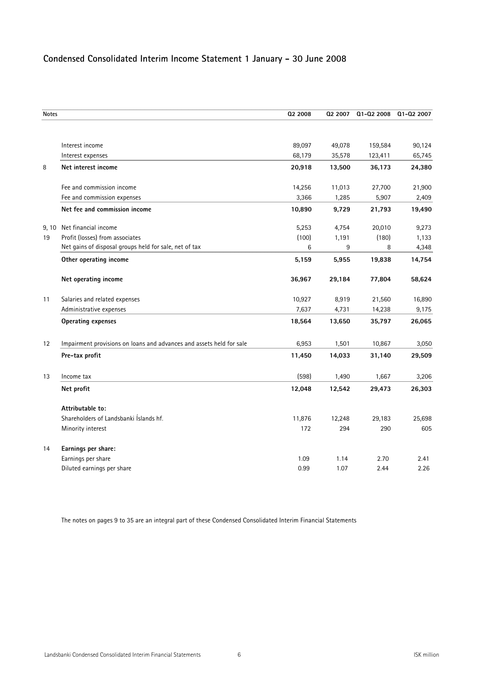### **Condensed Consolidated Interim Income Statement 1 January - 30 June 2008**

| <b>Notes</b> |                                                                      | 02 2008 | 02 2007 | Q1-Q2 2008 | Q1-Q2 2007 |
|--------------|----------------------------------------------------------------------|---------|---------|------------|------------|
|              |                                                                      |         |         |            |            |
|              | Interest income                                                      | 89,097  | 49,078  | 159,584    | 90,124     |
|              | Interest expenses                                                    | 68,179  | 35,578  | 123,411    | 65,745     |
| 8            | Net interest income                                                  | 20,918  | 13,500  | 36,173     | 24,380     |
|              | Fee and commission income                                            | 14,256  | 11,013  | 27,700     | 21,900     |
|              | Fee and commission expenses                                          | 3,366   | 1,285   | 5,907      | 2,409      |
|              | Net fee and commission income                                        | 10,890  | 9,729   | 21,793     | 19,490     |
| 9, 10        | Net financial income                                                 | 5,253   | 4,754   | 20,010     | 9,273      |
| 19           | Profit (losses) from associates                                      | (100)   | 1,191   | (180)      | 1,133      |
|              | Net gains of disposal groups held for sale, net of tax               | 6       | 9       | 8          | 4,348      |
|              | Other operating income                                               | 5,159   | 5,955   | 19,838     | 14,754     |
|              | Net operating income                                                 | 36,967  | 29,184  | 77,804     | 58,624     |
| 11           | Salaries and related expenses                                        | 10,927  | 8,919   | 21,560     | 16,890     |
|              | Administrative expenses                                              | 7,637   | 4,731   | 14,238     | 9,175      |
|              | <b>Operating expenses</b>                                            | 18,564  | 13,650  | 35,797     | 26,065     |
| 12           | Impairment provisions on loans and advances and assets held for sale | 6,953   | 1,501   | 10,867     | 3,050      |
|              | Pre-tax profit                                                       | 11,450  | 14,033  | 31,140     | 29,509     |
| 13           | Income tax                                                           | (598)   | 1,490   | 1,667      | 3,206      |
|              | Net profit                                                           | 12,048  | 12,542  | 29,473     | 26,303     |
|              | Attributable to:                                                     |         |         |            |            |
|              | Shareholders of Landsbanki Islands hf.                               | 11,876  | 12,248  | 29,183     | 25,698     |
|              | Minority interest                                                    | 172     | 294     | 290        | 605        |
| 14           | Earnings per share:                                                  |         |         |            |            |
|              | Earnings per share                                                   | 1.09    | 1.14    | 2.70       | 2.41       |
|              | Diluted earnings per share                                           | 0.99    | 1.07    | 2.44       | 2.26       |

The notes on pages 9 to 35 are an integral part of these Condensed Consolidated Interim Financial Statements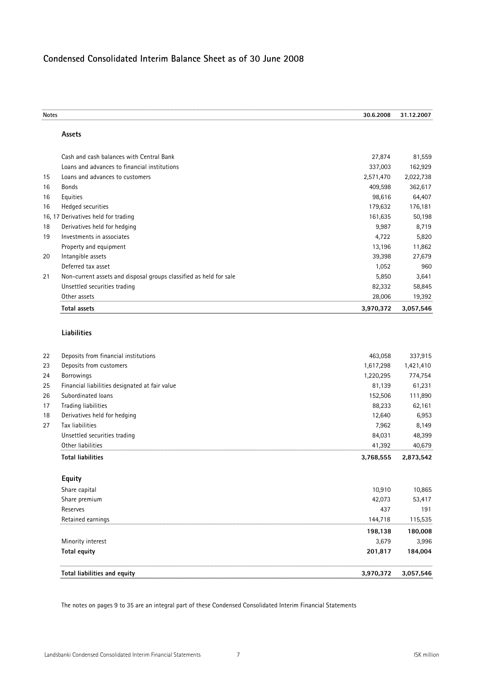### **Condensed Consolidated Interim Balance Sheet as of 30 June 2008**

| <b>Notes</b> |                                                                    | 30.6.2008 | 31.12.2007 |
|--------------|--------------------------------------------------------------------|-----------|------------|
|              | Assets                                                             |           |            |
|              | Cash and cash balances with Central Bank                           | 27,874    | 81,559     |
|              | Loans and advances to financial institutions                       | 337,003   | 162,929    |
| 15           | Loans and advances to customers                                    | 2,571,470 | 2,022,738  |
| 16           | <b>Bonds</b>                                                       | 409,598   | 362,617    |
| 16           | Equities                                                           | 98,616    | 64,407     |
| 16           | Hedged securities                                                  | 179,632   | 176,181    |
|              | 16, 17 Derivatives held for trading                                | 161,635   | 50,198     |
| 18           | Derivatives held for hedging                                       | 9,987     | 8,719      |
| 19           | Investments in associates                                          | 4,722     | 5,820      |
|              | Property and equipment                                             | 13,196    | 11,862     |
| 20           | Intangible assets                                                  | 39,398    | 27,679     |
|              | Deferred tax asset                                                 | 1,052     | 960        |
| 21           | Non-current assets and disposal groups classified as held for sale | 5,850     | 3,641      |
|              | Unsettled securities trading                                       | 82,332    | 58,845     |
|              | Other assets                                                       | 28,006    | 19,392     |
|              | <b>Total assets</b>                                                | 3,970,372 | 3,057,546  |
|              | Liabilities                                                        |           |            |
| 22           | Deposits from financial institutions                               | 463,058   | 337,915    |
| 23           | Deposits from customers                                            | 1,617,298 | 1,421,410  |
| 24           | Borrowings                                                         | 1,220,295 | 774,754    |
| 25           | Financial liabilities designated at fair value                     | 81,139    | 61,231     |
| 26           | Subordinated loans                                                 | 152,506   | 111,890    |
| 17           | Trading liabilities                                                | 88,233    | 62,161     |
| 18           | Derivatives held for hedging                                       | 12,640    | 6,953      |
| 27           | Tax liabilities                                                    | 7,962     | 8,149      |
|              | Unsettled securities trading                                       | 84,031    | 48,399     |
|              | Other liabilities                                                  | 41,392    | 40,679     |
|              | <b>Total liabilities</b>                                           | 3,768,555 | 2,873,542  |
|              | Equity                                                             |           |            |
|              | Share capital                                                      | 10,910    | 10,865     |
|              | Share premium                                                      | 42,073    | 53,417     |
|              | Reserves                                                           | 437       | 191        |
|              | Retained earnings                                                  | 144,718   | 115,535    |
|              |                                                                    | 198,138   | 180,008    |
|              | Minority interest                                                  | 3,679     | 3,996      |
|              | <b>Total equity</b>                                                | 201,817   | 184,004    |
|              | Total liabilities and equity                                       | 3,970,372 | 3,057,546  |
|              |                                                                    |           |            |

The notes on pages 9 to 35 are an integral part of these Condensed Consolidated Interim Financial Statements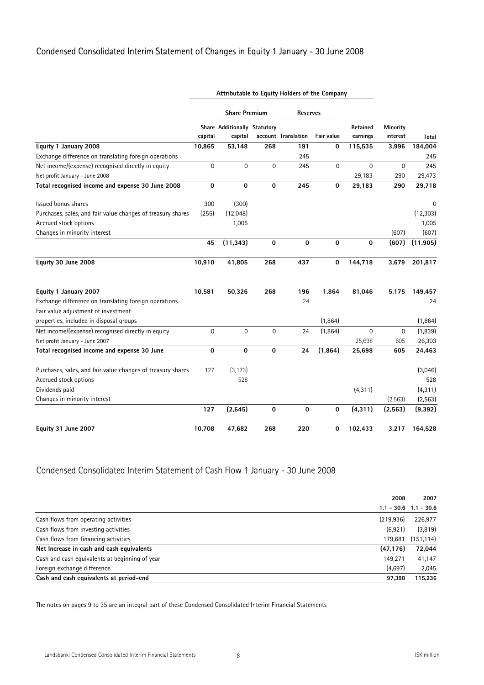### Condensed Consolidated Interim Statement of Changes in Equity 1 January - 30 June 2008

|                                                             | Attributable to Equity Holders of the Company |                                         |                  |                     |             |                      |                      |           |
|-------------------------------------------------------------|-----------------------------------------------|-----------------------------------------|------------------|---------------------|-------------|----------------------|----------------------|-----------|
|                                                             |                                               | <b>Share Premium</b>                    |                  | Reserves            |             |                      |                      |           |
|                                                             | capital                                       | Share Additionally Statutory<br>capital |                  | account Translation | Fair value  | Retained<br>earnings | Minority<br>interest | Total     |
| Equity 1 January 2008                                       | 10,865                                        | 53,148                                  | 268              | 191                 | 0           | 115,535              | 3,996                | 184,004   |
| Exchange difference on translating foreign operations       |                                               |                                         |                  | 245                 |             |                      |                      | 245       |
| Net income/(expense) recognised directly in equity          | $\overline{0}$                                | $\mathbf 0$                             | $\boldsymbol{0}$ | 245                 | 0           | $\mathbf 0$          | $\mathbf 0$          | 245       |
| Net profit January - June 2008                              |                                               |                                         |                  |                     |             | 29,183               | 290                  | 29,473    |
| Total recognised income and expense 30 June 2008            | 0                                             | $\mathbf 0$                             | $\mathbf 0$      | 245                 | 0           | 29,183               | 290                  | 29,718    |
| Issued bonus shares                                         | 300                                           | (300)                                   |                  |                     |             |                      |                      | 0         |
| Purchases, sales, and fair value changes of treasury shares | (255)                                         | (12,048)                                |                  |                     |             |                      |                      | (12, 303) |
| Accrued stock options                                       |                                               | 1,005                                   |                  |                     |             |                      |                      | 1,005     |
| Changes in minority interest                                |                                               |                                         |                  |                     |             |                      | (607)                | (607)     |
|                                                             | 45                                            | (11, 343)                               | $\mathbf 0$      | $\mathbf 0$         | $\mathbf 0$ | $\mathbf 0$          | (607)                | (11, 905) |
| Equity 30 June 2008                                         | 10,910                                        | 41,805                                  | 268              | 437                 | 0           | 144,718              | 3,679                | 201,817   |
| Equity 1 January 2007                                       | 10,581                                        | 50,326                                  | 268              | 196                 | 1,864       | 81,046               | 5,175                | 149,457   |
| Exchange difference on translating foreign operations       |                                               |                                         |                  | 24                  |             |                      |                      | 24        |
| Fair value adjustment of investment                         |                                               |                                         |                  |                     |             |                      |                      |           |
| properties, included in disposal groups                     |                                               |                                         |                  |                     | (1,864)     |                      |                      | (1,864)   |
| Net income/(expense) recognised directly in equity          | $\mathbf 0$                                   | 0                                       | $\boldsymbol{0}$ | 24                  | (1,864)     | $\mathbf 0$          | 0                    | (1,839)   |
| Net profit January - June 2007                              |                                               |                                         |                  |                     |             | 25,698               | 605                  | 26,303    |
| Total recognised income and expense 30 June                 | 0                                             | $\mathbf 0$                             | $\mathbf 0$      | 24                  | (1, 864)    | 25,698               | 605                  | 24,463    |
| Purchases, sales, and fair value changes of treasury shares | 127                                           | (3, 173)                                |                  |                     |             |                      |                      | (3,046)   |
| Accrued stock options                                       |                                               | 528                                     |                  |                     |             |                      |                      | 528       |
| Dividends paid                                              |                                               |                                         |                  |                     |             | (4, 311)             |                      | (4, 311)  |
| Changes in minority interest                                |                                               |                                         |                  |                     |             |                      | (2, 563)             | (2, 563)  |
|                                                             | 127                                           | (2,645)                                 | $\bf{0}$         | 0                   | 0           | (4, 311)             | (2, 563)             | (9, 392)  |
| Equity 31 June 2007                                         | 10,708                                        | 47,682                                  | 268              | 220                 | 0           | 102,433              | 3,217                | 164,528   |

### Condensed Consolidated Interim Statement of Cash Flow 1 January - 30 June 2008

|                                                | 2008       | 2007                      |
|------------------------------------------------|------------|---------------------------|
|                                                |            | $1.1 - 30.6$ $1.1 - 30.6$ |
| Cash flows from operating activities           | (219, 936) | 226,977                   |
| Cash flows from investing activities           | (6.921)    | (3,819)                   |
| Cash flows from financing activities           | 179.681    | (151, 114)                |
| Net Increase in cash and cash equivalents      | (47, 176)  | 72,044                    |
| Cash and cash equivalents at beginning of year | 149.271    | 41,147                    |
| Foreign exchange difference                    | (4,697)    | 2,045                     |
| Cash and cash equivalents at period-end        | 97,398     | 115,236                   |

The notes on pages 9 to 35 are an integral part of these Condensed Consolidated Interim Financial Statements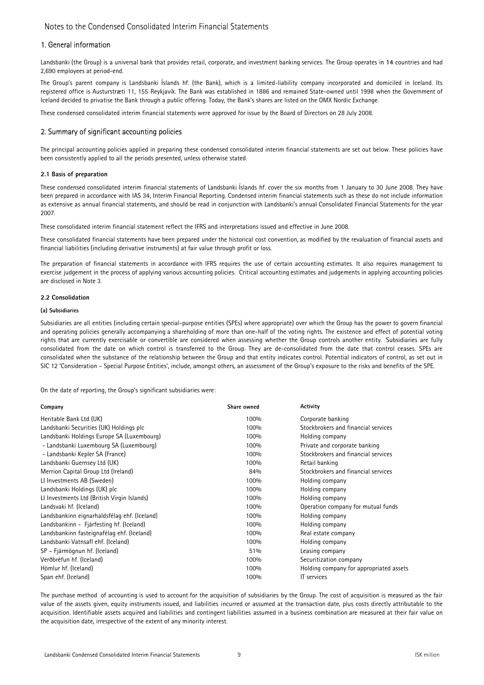### 1. General information

Landsbanki (the Group) is a universal bank that provides retail, corporate, and investment banking services. The Group operates in **14** countries and had 2,690 employees at period-end.

The Group's parent company is Landsbanki Íslands hf. (the Bank), which is a limited-liability company incorporated and domiciled in Iceland. Its registered office is Austurstræti 11, 155 Reykjavík. The Bank was established in 1886 and remained State-owned until 1998 when the Government of Iceland decided to privatise the Bank through a public offering. Today, the Bank's shares are listed on the OMX Nordic Exchange.

These condensed consolidated interim financial statements were approved for issue by the Board of Directors on 28 July 2008.

### 2. Summary of significant accounting policies

The principal accounting policies applied in preparing these condensed consolidated interim financial statements are set out below. These policies have been consistently applied to all the periods presented, unless otherwise stated.

#### 2.1 Basis of preparation

These condensed consolidated interim financial statements of Landsbanki Íslands hf. cover the six months from 1 January to 30 June 2008. They have been prepared in accordance with IAS 34, Interim Financial Reporting. Condensed interim financial statements such as these do not include information as extensive as annual financial statements, and should be read in conjunction with Landsbanki's annual Consolidated Financial Statements for the year 2007.

These consolidated interim financial statement reflect the IFRS and interpretations issued and effective in June 2008.

These consolidated financial statements have been prepared under the historical cost convention, as modified by the revaluation of financial assets and financial liabilities (including derivative instruments) at fair value through profit or loss.

The preparation of financial statements in accordance with IFRS requires the use of certain accounting estimates. It also requires management to exercise judgement in the process of applying various accounting policies. Critical accounting estimates and judgements in applying accounting policies are disclosed in Note 3.

### 2.2 Consolidation

### (a) Subsidiaries

Subsidiaries are all entities (including certain special-purpose entities (SPEs) where appropriate) over which the Group has the power to govern financial and operating policies generally accompanying a shareholding of more than one-half of the voting rights. The existence and effect of potential voting rights that are currently exercisable or convertible are considered when assessing whether the Group controls another entity. Subsidiaries are fully consolidated from the date on which control is transferred to the Group. They are de-consolidated from the date that control ceases. SPEs are consolidated when the substance of the relationship between the Group and that entity indicates control. Potential indicators of control, as set out in SIC 12 'Consideration – Special Purpose Entities', include, amongst others, an assessment of the Group's exposure to the risks and benefits of the SPE.

On the date of reporting, the Group's significant subsidiaries were:

| Company                                      | Share owned | <b>Activity</b>                         |
|----------------------------------------------|-------------|-----------------------------------------|
| Heritable Bank Ltd (UK)                      | 100%        | Corporate banking                       |
| Landsbanki Securities (UK) Holdings plc      | 100%        | Stockbrokers and financial services     |
| Landsbanki Holdings Europe SA (Luxembourg)   | 100%        | Holding company                         |
| - Landsbanki Luxembourg SA (Luxembourg)      | 100%        | Private and corporate banking           |
| - Landsbanki Kepler SA (France)              | 100%        | Stockbrokers and financial services     |
| Landsbanki Guernsey Ltd (UK)                 | 100%        | Retail banking                          |
| Merrion Capital Group Ltd (Ireland)          | 84%         | Stockbrokers and financial services     |
| LI Investments AB (Sweden)                   | 100%        | Holding company                         |
| Landsbanki Holdings (UK) plc                 | 100%        | Holding company                         |
| LI Investments Ltd (British Virgin Islands)  | 100%        | Holding company                         |
| Landsvaki hf. (Iceland)                      | 100%        | Operation company for mutual funds      |
| Landsbankinn eignarhaldsfélag ehf. (Iceland) | 100%        | Holding company                         |
| Landsbankinn - Fjárfesting hf. (Iceland)     | 100%        | Holding company                         |
| Landsbankinn fasteignafélag ehf. (Iceland)   | 100%        | Real estate company                     |
| Landsbanki Vatnsafl ehf. (Iceland)           | 100%        | Holding company                         |
| SP – Fjármögnun hf. (Iceland)                | 51%         | Leasing company                         |
| Verðbréfun hf. (Iceland)                     | 100%        | Securitization company                  |
| Hömlur hf. (Iceland)                         | 100%        | Holding company for appropriated assets |
| Span ehf. (Iceland)                          | 100%        | IT services                             |

The purchase method of accounting is used to account for the acquisition of subsidiaries by the Group. The cost of acquisition is measured as the fair value of the assets given, equity instruments issued, and liabilities incurred or assumed at the transaction date, plus costs directly attributable to the acquisition. Identifiable assets acquired and liabilities and contingent liabilities assumed in a business combination are measured at their fair value on the acquisition date, irrespective of the extent of any minority interest.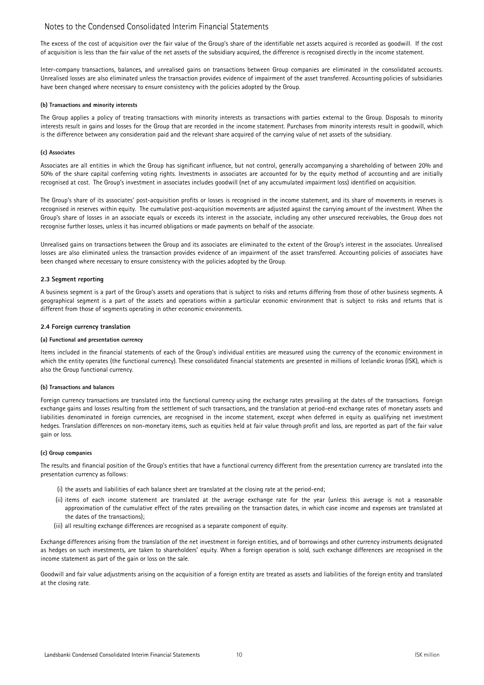The excess of the cost of acquisition over the fair value of the Group's share of the identifiable net assets acquired is recorded as goodwill. If the cost of acquisition is less than the fair value of the net assets of the subsidiary acquired, the difference is recognised directly in the income statement.

Inter-company transactions, balances, and unrealised gains on transactions between Group companies are eliminated in the consolidated accounts. Unrealised losses are also eliminated unless the transaction provides evidence of impairment of the asset transferred. Accounting policies of subsidiaries have been changed where necessary to ensure consistency with the policies adopted by the Group.

#### (b) Transactions and minority interests

The Group applies a policy of treating transactions with minority interests as transactions with parties external to the Group. Disposals to minority interests result in gains and losses for the Group that are recorded in the income statement. Purchases from minority interests result in goodwill, which is the difference between any consideration paid and the relevant share acquired of the carrying value of net assets of the subsidiary.

#### (c) Associates

Associates are all entities in which the Group has significant influence, but not control, generally accompanying a shareholding of between 20% and 50% of the share capital conferring voting rights. Investments in associates are accounted for by the equity method of accounting and are initially recognised at cost. The Group's investment in associates includes goodwill (net of any accumulated impairment loss) identified on acquisition.

The Group's share of its associates' post-acquisition profits or losses is recognised in the income statement, and its share of movements in reserves is recognised in reserves within equity. The cumulative post-acquisition movements are adjusted against the carrying amount of the investment. When the Group's share of losses in an associate equals or exceeds its interest in the associate, including any other unsecured receivables, the Group does not recognise further losses, unless it has incurred obligations or made payments on behalf of the associate.

Unrealised gains on transactions between the Group and its associates are eliminated to the extent of the Group's interest in the associates. Unrealised losses are also eliminated unless the transaction provides evidence of an impairment of the asset transferred. Accounting policies of associates have been changed where necessary to ensure consistency with the policies adopted by the Group.

#### 2.3 Segment reporting

A business segment is a part of the Group's assets and operations that is subject to risks and returns differing from those of other business segments. A geographical segment is a part of the assets and operations within a particular economic environment that is subject to risks and returns that is different from those of segments operating in other economic environments.

#### 2.4 Foreign currency translation

#### (a) Functional and presentation currency

Items included in the financial statements of each of the Group's individual entities are measured using the currency of the economic environment in which the entity operates (the functional currency). These consolidated financial statements are presented in millions of Icelandic kronas (ISK), which is also the Group functional currency.

#### (b) Transactions and balances

Foreign currency transactions are translated into the functional currency using the exchange rates prevailing at the dates of the transactions. Foreign exchange gains and losses resulting from the settlement of such transactions, and the translation at period-end exchange rates of monetary assets and liabilities denominated in foreign currencies, are recognised in the income statement, except when deferred in equity as qualifying net investment hedges. Translation differences on non-monetary items, such as equities held at fair value through profit and loss, are reported as part of the fair value gain or loss.

#### (c) Group companies

The results and financial position of the Group's entities that have a functional currency different from the presentation currency are translated into the presentation currency as follows:

- (i) the assets and liabilities of each balance sheet are translated at the closing rate at the period-end;
- (ii) items of each income statement are translated at the average exchange rate for the year (unless this average is not a reasonable approximation of the cumulative effect of the rates prevailing on the transaction dates, in which case income and expenses are translated at the dates of the transactions);
- (iii) all resulting exchange differences are recognised as a separate component of equity.

Exchange differences arising from the translation of the net investment in foreign entities, and of borrowings and other currency instruments designated as hedges on such investments, are taken to shareholders' equity. When a foreign operation is sold, such exchange differences are recognised in the income statement as part of the gain or loss on the sale.

Goodwill and fair value adjustments arising on the acquisition of a foreign entity are treated as assets and liabilities of the foreign entity and translated at the closing rate.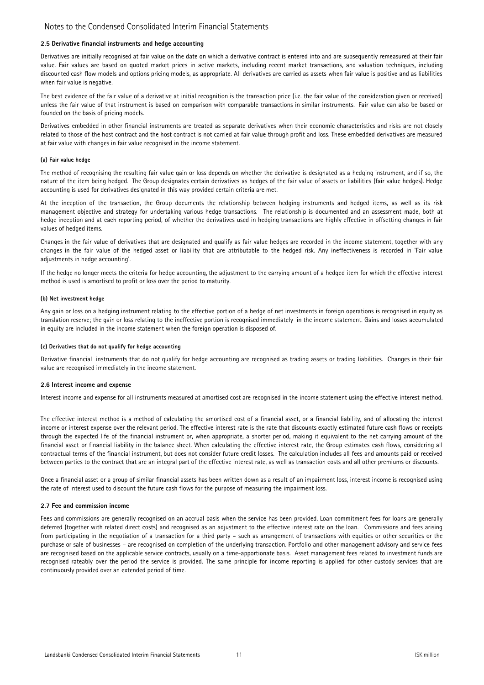#### 2.5 Derivative financial instruments and hedge accounting

Derivatives are initially recognised at fair value on the date on which a derivative contract is entered into and are subsequently remeasured at their fair value. Fair values are based on quoted market prices in active markets, including recent market transactions, and valuation techniques, including discounted cash flow models and options pricing models, as appropriate. All derivatives are carried as assets when fair value is positive and as liabilities when fair value is negative.

The best evidence of the fair value of a derivative at initial recognition is the transaction price (i.e. the fair value of the consideration given or received) unless the fair value of that instrument is based on comparison with comparable transactions in similar instruments. Fair value can also be based or founded on the basis of pricing models.

Derivatives embedded in other financial instruments are treated as separate derivatives when their economic characteristics and risks are not closely related to those of the host contract and the host contract is not carried at fair value through profit and loss. These embedded derivatives are measured at fair value with changes in fair value recognised in the income statement.

### (a) Fair value hedge

The method of recognising the resulting fair value gain or loss depends on whether the derivative is designated as a hedging instrument, and if so, the nature of the item being hedged. The Group designates certain derivatives as hedges of the fair value of assets or liabilities (fair value hedges). Hedge accounting is used for derivatives designated in this way provided certain criteria are met.

At the inception of the transaction, the Group documents the relationship between hedging instruments and hedged items, as well as its risk management objective and strategy for undertaking various hedge transactions. The relationship is documented and an assessment made, both at hedge inception and at each reporting period, of whether the derivatives used in hedging transactions are highly effective in offsetting changes in fair values of hedged items.

Changes in the fair value of derivatives that are designated and qualify as fair value hedges are recorded in the income statement, together with any changes in the fair value of the hedged asset or liability that are attributable to the hedged risk. Any ineffectiveness is recorded in 'Fair value adjustments in hedge accounting'.

If the hedge no longer meets the criteria for hedge accounting, the adjustment to the carrying amount of a hedged item for which the effective interest method is used is amortised to profit or loss over the period to maturity.

#### (b) Net investment hedge

Any gain or loss on a hedging instrument relating to the effective portion of a hedge of net investments in foreign operations is recognised in equity as translation reserve; the gain or loss relating to the ineffective portion is recognised immediately in the income statement. Gains and losses accumulated in equity are included in the income statement when the foreign operation is disposed of.

#### (c) Derivatives that do not qualify for hedge accounting

Derivative financial instruments that do not qualify for hedge accounting are recognised as trading assets or trading liabilities. Changes in their fair value are recognised immediately in the income statement.

#### 2.6 Interest income and expense

Interest income and expense for all instruments measured at amortised cost are recognised in the income statement using the effective interest method.

The effective interest method is a method of calculating the amortised cost of a financial asset, or a financial liability, and of allocating the interest income or interest expense over the relevant period. The effective interest rate is the rate that discounts exactly estimated future cash flows or receipts through the expected life of the financial instrument or, when appropriate, a shorter period, making it equivalent to the net carrying amount of the financial asset or financial liability in the balance sheet. When calculating the effective interest rate, the Group estimates cash flows, considering all contractual terms of the financial instrument, but does not consider future credit losses. The calculation includes all fees and amounts paid or received between parties to the contract that are an integral part of the effective interest rate, as well as transaction costs and all other premiums or discounts.

Once a financial asset or a group of similar financial assets has been written down as a result of an impairment loss, interest income is recognised using the rate of interest used to discount the future cash flows for the purpose of measuring the impairment loss.

#### 2.7 Fee and commission income

Fees and commissions are generally recognised on an accrual basis when the service has been provided. Loan commitment fees for loans are generally deferred (together with related direct costs) and recognised as an adjustment to the effective interest rate on the loan. Commissions and fees arising from participating in the negotiation of a transaction for a third party – such as arrangement of transactions with equities or other securities or the purchase or sale of businesses – are recognised on completion of the underlying transaction. Portfolio and other management advisory and service fees are recognised based on the applicable service contracts, usually on a time-apportionate basis. Asset management fees related to investment funds are recognised rateably over the period the service is provided. The same principle for income reporting is applied for other custody services that are continuously provided over an extended period of time.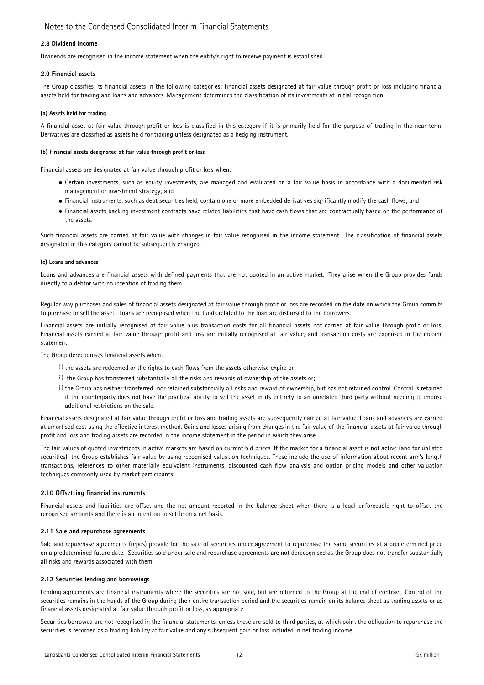#### 2.8 Dividend income

Dividends are recognised in the income statement when the entity's right to receive payment is established.

### 2.9 Financial assets

The Group classifies its financial assets in the following categories: financial assets designated at fair value through profit or loss including financial assets held for trading and loans and advances. Management determines the classification of its investments at initial recognition.

### (a) Assets held for trading

A financial asset at fair value through profit or loss is classified in this category if it is primarily held for the purpose of trading in the near term. Derivatives are classified as assets held for trading unless designated as a hedging instrument.

### (b) Financial assets designated at fair value through profit or loss

Financial assets are designated at fair value through profit or loss when:

- **●** Certain investments, such as equity investments, are managed and evaluated on a fair value basis in accordance with a documented risk management or investment strategy; and
- **●** Financial instruments, such as debt securities held, contain one or more embedded derivatives significantly modify the cash flows; and
- **●** Financial assets backing investment contracts have related liabilities that have cash flows that are contractually based on the performance of the assets.

Such financial assets are carried at fair value with changes in fair value recognised in the income statement. The classification of financial assets designated in this category cannot be subsequently changed.

### (c) Loans and advances

Loans and advances are financial assets with defined payments that are not quoted in an active market. They arise when the Group provides funds directly to a debtor with no intention of trading them.

Regular way purchases and sales of financial assets designated at fair value through profit or loss are recorded on the date on which the Group commits to purchase or sell the asset. Loans are recognised when the funds related to the loan are disbursed to the borrowers.

Financial assets are initially recognised at fair value plus transaction costs for all financial assets not carried at fair value through profit or loss. Financial assets carried at fair value through profit and loss are initially recognised at fair value, and transaction costs are expensed in the income statement.

The Group derecognises financial assets when:

- $^{(i)}$  the assets are redeemed or the rights to cash flows from the assets otherwise expire or;
- (ii) the Group has transferred substantially all the risks and rewards of ownership of the assets or;
- (ii) the Group has neither transferred nor retained substantially all risks and reward of ownership, but has not retained control. Control is retained if the counterparty does not have the practical ability to sell the asset in its entirety to an unrelated third party without needing to impose additional restrictions on the sale.

Financial assets designated at fair value through profit or loss and trading assets are subsequently carried at fair value. Loans and advances are carried at amortised cost using the effective interest method. Gains and losses arising from changes in the fair value of the financial assets at fair value through profit and loss and trading assets are recorded in the income statement in the period in which they arise.

The fair values of quoted investments in active markets are based on current bid prices. If the market for a financial asset is not active (and for unlisted securities), the Group establishes fair value by using recognised valuation techniques. These include the use of information about recent arm's length transactions, references to other materially equivalent instruments, discounted cash flow analysis and option pricing models and other valuation techniques commonly used by market participants.

#### 2.10 Offsetting financial instruments

Financial assets and liabilities are offset and the net amount reported in the balance sheet when there is a legal enforceable right to offset the recognised amounts and there is an intention to settle on a net basis.

#### 2.11 Sale and repurchase agreements

Sale and repurchase agreements (repos) provide for the sale of securities under agreement to repurchase the same securities at a predetermined price on a predetermined future date. Securities sold under sale and repurchase agreements are not derecognised as the Group does not transfer substantially all risks and rewards associated with them.

### 2.12 Securities lending and borrowings

Lending agreements are financial instruments where the securities are not sold, but are returned to the Group at the end of contract. Control of the securities remains in the hands of the Group during their entire transaction period and the securities remain on its balance sheet as trading assets or as financial assets designated at fair value through profit or loss, as appropriate.

Securities borrowed are not recognised in the financial statements, unless these are sold to third parties, at which point the obligation to repurchase the securities is recorded as a trading liability at fair value and any subsequent gain or loss included in net trading income.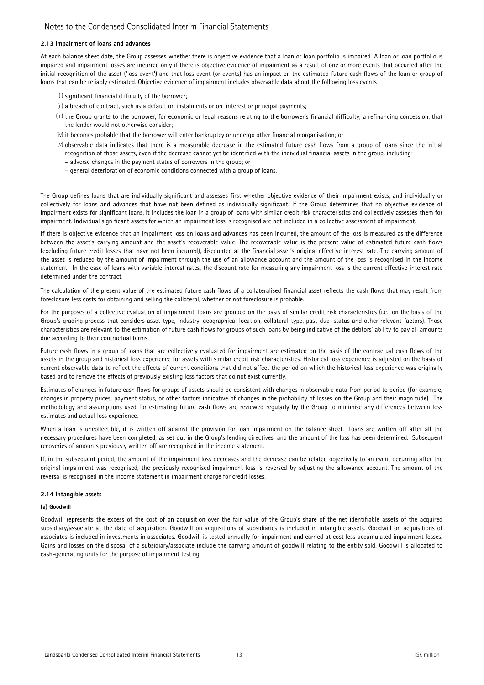#### 2.13 Impairment of loans and advances

At each balance sheet date, the Group assesses whether there is objective evidence that a loan or loan portfolio is impaired. A loan or loan portfolio is impaired and impairment losses are incurred only if there is objective evidence of impairment as a result of one or more events that occurred after the initial recognition of the asset ('loss event') and that loss event (or events) has an impact on the estimated future cash flows of the loan or group of loans that can be reliably estimated. Objective evidence of impairment includes observable data about the following loss events:

- (i) significant financial difficulty of the borrower;
- (ii) a breach of contract, such as a default on instalments or on interest or principal payments;
- (iii) the Group grants to the borrower, for economic or legal reasons relating to the borrower's financial difficulty, a refinancing concession, that the lender would not otherwise consider;
- (iv) it becomes probable that the borrower will enter bankruptcy or undergo other financial reorganisation; or
- (v) observable data indicates that there is a measurable decrease in the estimated future cash flows from a group of loans since the initial recognition of those assets, even if the decrease cannot yet be identified with the individual financial assets in the group, including:
	- adverse changes in the payment status of borrowers in the group; or
	- general deterioration of economic conditions connected with a group of loans.

The Group defines loans that are individually significant and assesses first whether objective evidence of their impairment exists, and individually or collectively for loans and advances that have not been defined as individually significant. If the Group determines that no objective evidence of impairment exists for significant loans, it includes the loan in a group of loans with similar credit risk characteristics and collectively assesses them for impairment. Individual significant assets for which an impairment loss is recognised are not included in a collective assessment of impairment.

If there is objective evidence that an impairment loss on loans and advances has been incurred, the amount of the loss is measured as the difference between the asset's carrying amount and the asset's recoverable value. The recoverable value is the present value of estimated future cash flows (excluding future credit losses that have not been incurred), discounted at the financial asset's original effective interest rate. The carrying amount of the asset is reduced by the amount of impairment through the use of an allowance account and the amount of the loss is recognised in the income statement. In the case of loans with variable interest rates, the discount rate for measuring any impairment loss is the current effective interest rate determined under the contract.

The calculation of the present value of the estimated future cash flows of a collateralised financial asset reflects the cash flows that may result from foreclosure less costs for obtaining and selling the collateral, whether or not foreclosure is probable.

For the purposes of a collective evaluation of impairment, loans are grouped on the basis of similar credit risk characteristics (i.e., on the basis of the Group's grading process that considers asset type, industry, geographical location, collateral type, past-due status and other relevant factors). Those characteristics are relevant to the estimation of future cash flows for groups of such loans by being indicative of the debtors' ability to pay all amounts due according to their contractual terms.

Future cash flows in a group of loans that are collectively evaluated for impairment are estimated on the basis of the contractual cash flows of the assets in the group and historical loss experience for assets with similar credit risk characteristics. Historical loss experience is adjusted on the basis of current observable data to reflect the effects of current conditions that did not affect the period on which the historical loss experience was originally based and to remove the effects of previously existing loss factors that do not exist currently.

Estimates of changes in future cash flows for groups of assets should be consistent with changes in observable data from period to period (for example, changes in property prices, payment status, or other factors indicative of changes in the probability of losses on the Group and their magnitude). The methodology and assumptions used for estimating future cash flows are reviewed regularly by the Group to minimise any differences between loss estimates and actual loss experience.

When a loan is uncollectible, it is written off against the provision for loan impairment on the balance sheet. Loans are written off after all the necessary procedures have been completed, as set out in the Group's lending directives, and the amount of the loss has been determined. Subsequent recoveries of amounts previously written off are recognised in the income statement.

If, in the subsequent period, the amount of the impairment loss decreases and the decrease can be related objectively to an event occurring after the original impairment was recognised, the previously recognised impairment loss is reversed by adjusting the allowance account. The amount of the reversal is recognised in the income statement in impairment charge for credit losses.

#### 2.14 Intangible assets

### (a) Goodwill

Goodwill represents the excess of the cost of an acquisition over the fair value of the Group's share of the net identifiable assets of the acquired subsidiary/associate at the date of acquisition. Goodwill on acquisitions of subsidiaries is included in intangible assets. Goodwill on acquisitions of associates is included in investments in associates. Goodwill is tested annually for impairment and carried at cost less accumulated impairment losses. Gains and losses on the disposal of a subsidiary/associate include the carrying amount of goodwill relating to the entity sold. Goodwill is allocated to cash-generating units for the purpose of impairment testing.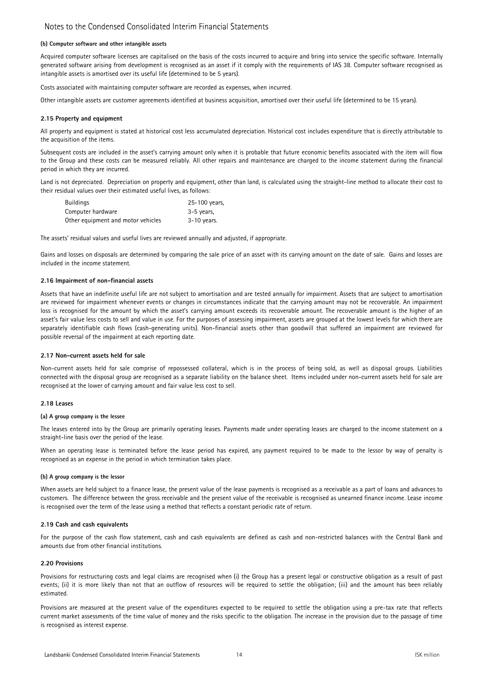#### (b) Computer software and other intangible assets

Acquired computer software licenses are capitalised on the basis of the costs incurred to acquire and bring into service the specific software. Internally generated software arising from development is recognised as an asset if it comply with the requirements of IAS 38. Computer software recognised as intangible assets is amortised over its useful life (determined to be 5 years).

Costs associated with maintaining computer software are recorded as expenses, when incurred.

Other intangible assets are customer agreements identified at business acquisition, amortised over their useful life (determined to be 15 years).

#### 2.15 Property and equipment

All property and equipment is stated at historical cost less accumulated depreciation. Historical cost includes expenditure that is directly attributable to the acquisition of the items.

Subsequent costs are included in the asset's carrying amount only when it is probable that future economic benefits associated with the item will flow to the Group and these costs can be measured reliably. All other repairs and maintenance are charged to the income statement during the financial period in which they are incurred.

Land is not depreciated. Depreciation on property and equipment, other than land, is calculated using the straight-line method to allocate their cost to their residual values over their estimated useful lives, as follows:

| Buildings                          | 25-100 years, |
|------------------------------------|---------------|
| Computer hardware                  | 3-5 years.    |
| Other equipment and motor vehicles | $3-10$ years. |

The assets' residual values and useful lives are reviewed annually and adjusted, if appropriate.

Gains and losses on disposals are determined by comparing the sale price of an asset with its carrying amount on the date of sale. Gains and losses are included in the income statement.

### 2.16 Impairment of non-financial assets

Assets that have an indefinite useful life are not subject to amortisation and are tested annually for impairment. Assets that are subject to amortisation are reviewed for impairment whenever events or changes in circumstances indicate that the carrying amount may not be recoverable. An impairment loss is recognised for the amount by which the asset's carrying amount exceeds its recoverable amount. The recoverable amount is the higher of an asset's fair value less costs to sell and value in use. For the purposes of assessing impairment, assets are grouped at the lowest levels for which there are separately identifiable cash flows (cash-generating units). Non-financial assets other than goodwill that suffered an impairment are reviewed for possible reversal of the impairment at each reporting date.

#### 2.17 Non-current assets held for sale

Non-current assets held for sale comprise of repossessed collateral, which is in the process of being sold, as well as disposal groups. Liabilities connected with the disposal group are recognised as a separate liability on the balance sheet. Items included under non-current assets held for sale are recognised at the lower of carrying amount and fair value less cost to sell.

### 2.18 Leases

#### (a) A group company is the lessee

The leases entered into by the Group are primarily operating leases. Payments made under operating leases are charged to the income statement on a straight-line basis over the period of the lease.

When an operating lease is terminated before the lease period has expired, any payment required to be made to the lessor by way of penalty is recognised as an expense in the period in which termination takes place.

#### (b) A group company is the lessor

When assets are held subject to a finance lease, the present value of the lease payments is recognised as a receivable as a part of loans and advances to customers. The difference between the gross receivable and the present value of the receivable is recognised as unearned finance income. Lease income is recognised over the term of the lease using a method that reflects a constant periodic rate of return.

#### 2.19 Cash and cash equivalents

For the purpose of the cash flow statement, cash and cash equivalents are defined as cash and non-restricted balances with the Central Bank and amounts due from other financial institutions.

#### 2.20 Provisions

Provisions for restructuring costs and legal claims are recognised when (i) the Group has a present legal or constructive obligation as a result of past events; (ii) it is more likely than not that an outflow of resources will be required to settle the obligation; (iii) and the amount has been reliably estimated.

Provisions are measured at the present value of the expenditures expected to be required to settle the obligation using a pre-tax rate that reflects current market assessments of the time value of money and the risks specific to the obligation. The increase in the provision due to the passage of time is recognised as interest expense.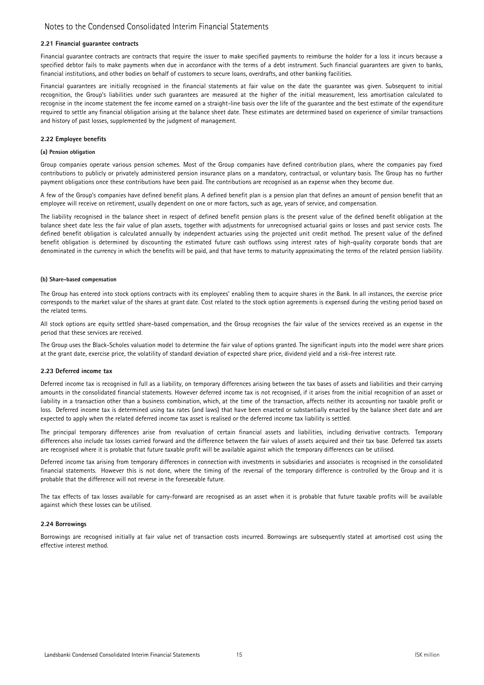#### 2.21 Financial guarantee contracts

Financial guarantee contracts are contracts that require the issuer to make specified payments to reimburse the holder for a loss it incurs because a specified debtor fails to make payments when due in accordance with the terms of a debt instrument. Such financial guarantees are given to banks, financial institutions, and other bodies on behalf of customers to secure loans, overdrafts, and other banking facilities.

Financial guarantees are initially recognised in the financial statements at fair value on the date the guarantee was given. Subsequent to initial recognition, the Group's liabilities under such guarantees are measured at the higher of the initial measurement, less amortisation calculated to recognise in the income statement the fee income earned on a straight-line basis over the life of the guarantee and the best estimate of the expenditure required to settle any financial obligation arising at the balance sheet date. These estimates are determined based on experience of similar transactions and history of past losses, supplemented by the judgment of management.

#### 2.22 Employee benefits

#### (a) Pension obligation

Group companies operate various pension schemes. Most of the Group companies have defined contribution plans, where the companies pay fixed contributions to publicly or privately administered pension insurance plans on a mandatory, contractual, or voluntary basis. The Group has no further payment obligations once these contributions have been paid. The contributions are recognised as an expense when they become due.

A few of the Group's companies have defined benefit plans. A defined benefit plan is a pension plan that defines an amount of pension benefit that an employee will receive on retirement, usually dependent on one or more factors, such as age, years of service, and compensation.

The liability recognised in the balance sheet in respect of defined benefit pension plans is the present value of the defined benefit obligation at the balance sheet date less the fair value of plan assets, together with adjustments for unrecognised actuarial gains or losses and past service costs. The defined benefit obligation is calculated annually by independent actuaries using the projected unit credit method. The present value of the defined benefit obligation is determined by discounting the estimated future cash outflows using interest rates of high-quality corporate bonds that are denominated in the currency in which the benefits will be paid, and that have terms to maturity approximating the terms of the related pension liability.

#### (b) Share-based compensation

The Group has entered into stock options contracts with its employees' enabling them to acquire shares in the Bank. In all instances, the exercise price corresponds to the market value of the shares at grant date. Cost related to the stock option agreements is expensed during the vesting period based on the related terms.

All stock options are equity settled share-based compensation, and the Group recognises the fair value of the services received as an expense in the period that these services are received.

The Group uses the Black-Scholes valuation model to determine the fair value of options granted. The significant inputs into the model were share prices at the grant date, exercise price, the volatility of standard deviation of expected share price, dividend yield and a risk-free interest rate.

#### 2.23 Deferred income tax

Deferred income tax is recognised in full as a liability, on temporary differences arising between the tax bases of assets and liabilities and their carrying amounts in the consolidated financial statements. However deferred income tax is not recognised, if it arises from the initial recognition of an asset or liability in a transaction other than a business combination, which, at the time of the transaction, affects neither its accounting nor taxable profit or loss. Deferred income tax is determined using tax rates (and laws) that have been enacted or substantially enacted by the balance sheet date and are expected to apply when the related deferred income tax asset is realised or the deferred income tax liability is settled.

The principal temporary differences arise from revaluation of certain financial assets and liabilities, including derivative contracts. Temporary differences also include tax losses carried forward and the difference between the fair values of assets acquired and their tax base. Deferred tax assets are recognised where it is probable that future taxable profit will be available against which the temporary differences can be utilised.

Deferred income tax arising from temporary differences in connection with investments in subsidiaries and associates is recognised in the consolidated financial statements. However this is not done, where the timing of the reversal of the temporary difference is controlled by the Group and it is probable that the difference will not reverse in the foreseeable future.

The tax effects of tax losses available for carry-forward are recognised as an asset when it is probable that future taxable profits will be available against which these losses can be utilised.

#### 2.24 Borrowings

Borrowings are recognised initially at fair value net of transaction costs incurred. Borrowings are subsequently stated at amortised cost using the effective interest method.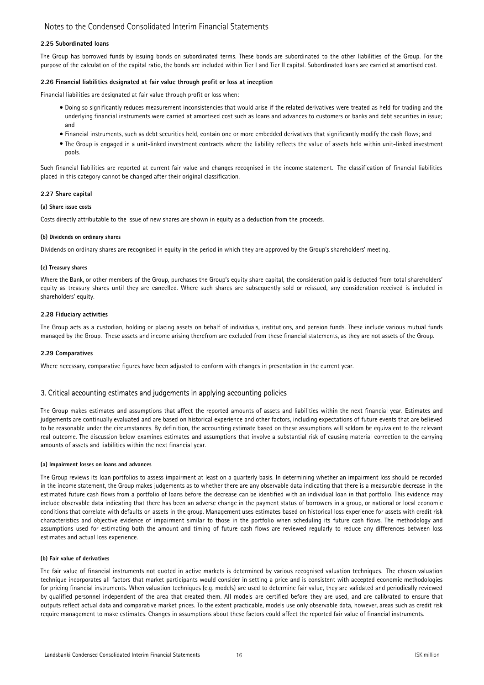### 2.25 Subordinated loans

The Group has borrowed funds by issuing bonds on subordinated terms. These bonds are subordinated to the other liabilities of the Group. For the purpose of the calculation of the capital ratio, the bonds are included within Tier I and Tier II capital. Subordinated loans are carried at amortised cost.

### 2.26 Financial liabilities designated at fair value through profit or loss at inception

Financial liabilities are designated at fair value through profit or loss when:

- Doing so significantly reduces measurement inconsistencies that would arise if the related derivatives were treated as held for trading and the underlying financial instruments were carried at amortised cost such as loans and advances to customers or banks and debt securities in issue; and
- Financial instruments, such as debt securities held, contain one or more embedded derivatives that significantly modify the cash flows; and
- The Group is engaged in a unit-linked investment contracts where the liability reflects the value of assets held within unit-linked investment pools.

Such financial liabilities are reported at current fair value and changes recognised in the income statement. The classification of financial liabilities placed in this category cannot be changed after their original classification.

### 2.27 Share capital

#### (a) Share issue costs

Costs directly attributable to the issue of new shares are shown in equity as a deduction from the proceeds.

#### (b) Dividends on ordinary shares

Dividends on ordinary shares are recognised in equity in the period in which they are approved by the Group's shareholders' meeting.

#### (c) Treasury shares

Where the Bank, or other members of the Group, purchases the Group's equity share capital, the consideration paid is deducted from total shareholders' equity as treasury shares until they are cancelled. Where such shares are subsequently sold or reissued, any consideration received is included in shareholders' equity.

### 2.28 Fiduciary activities

The Group acts as a custodian, holding or placing assets on behalf of individuals, institutions, and pension funds. These include various mutual funds managed by the Group. These assets and income arising therefrom are excluded from these financial statements, as they are not assets of the Group.

#### 2.29 Comparatives

Where necessary, comparative figures have been adjusted to conform with changes in presentation in the current year.

### 3. Critical accounting estimates and judgements in applying accounting policies

The Group makes estimates and assumptions that affect the reported amounts of assets and liabilities within the next financial year. Estimates and judgements are continually evaluated and are based on historical experience and other factors, including expectations of future events that are believed to be reasonable under the circumstances. By definition, the accounting estimate based on these assumptions will seldom be equivalent to the relevant real outcome. The discussion below examines estimates and assumptions that involve a substantial risk of causing material correction to the carrying amounts of assets and liabilities within the next financial year.

#### (a) Impairment losses on loans and advances

The Group reviews its loan portfolios to assess impairment at least on a quarterly basis. In determining whether an impairment loss should be recorded in the income statement, the Group makes judgements as to whether there are any observable data indicating that there is a measurable decrease in the estimated future cash flows from a portfolio of loans before the decrease can be identified with an individual loan in that portfolio. This evidence may include observable data indicating that there has been an adverse change in the payment status of borrowers in a group, or national or local economic conditions that correlate with defaults on assets in the group. Management uses estimates based on historical loss experience for assets with credit risk characteristics and objective evidence of impairment similar to those in the portfolio when scheduling its future cash flows. The methodology and assumptions used for estimating both the amount and timing of future cash flows are reviewed regularly to reduce any differences between loss estimates and actual loss experience.

### (b) Fair value of derivatives

The fair value of financial instruments not quoted in active markets is determined by various recognised valuation techniques. The chosen valuation technique incorporates all factors that market participants would consider in setting a price and is consistent with accepted economic methodologies for pricing financial instruments. When valuation techniques (e.g. models) are used to determine fair value, they are validated and periodically reviewed by qualified personnel independent of the area that created them. All models are certified before they are used, and are calibrated to ensure that outputs reflect actual data and comparative market prices. To the extent practicable, models use only observable data, however, areas such as credit risk require management to make estimates. Changes in assumptions about these factors could affect the reported fair value of financial instruments.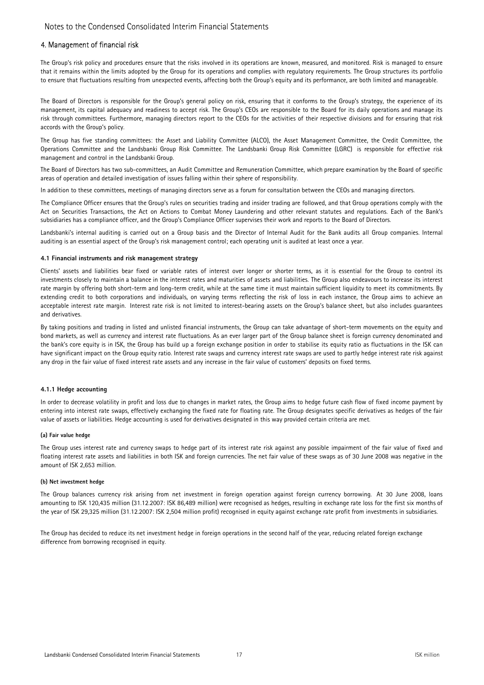### 4. Management of financial risk

The Group's risk policy and procedures ensure that the risks involved in its operations are known, measured, and monitored. Risk is managed to ensure that it remains within the limits adopted by the Group for its operations and complies with regulatory requirements. The Group structures its portfolio to ensure that fluctuations resulting from unexpected events, affecting both the Group's equity and its performance, are both limited and manageable.

The Board of Directors is responsible for the Group's general policy on risk, ensuring that it conforms to the Group's strategy, the experience of its management, its capital adequacy and readiness to accept risk. The Group's CEOs are responsible to the Board for its daily operations and manage its risk through committees. Furthermore, managing directors report to the CEOs for the activities of their respective divisions and for ensuring that risk accords with the Group's policy.

The Group has five standing committees: the Asset and Liability Committee (ALCO), the Asset Management Committee, the Credit Committee, the Operations Committee and the Landsbanki Group Risk Committee. The Landsbanki Group Risk Committee (LGRC) is responsible for effective risk management and control in the Landsbanki Group.

The Board of Directors has two sub-committees, an Audit Committee and Remuneration Committee, which prepare examination by the Board of specific areas of operation and detailed investigation of issues falling within their sphere of responsibility.

In addition to these committees, meetings of managing directors serve as a forum for consultation between the CEOs and managing directors.

The Compliance Officer ensures that the Group's rules on securities trading and insider trading are followed, and that Group operations comply with the Act on Securities Transactions, the Act on Actions to Combat Money Laundering and other relevant statutes and regulations. Each of the Bank's subsidiaries has a compliance officer, and the Group's Compliance Officer supervises their work and reports to the Board of Directors.

Landsbanki's internal auditing is carried out on a Group basis and the Director of Internal Audit for the Bank audits all Group companies. Internal auditing is an essential aspect of the Group's risk management control; each operating unit is audited at least once a year.

#### 4.1 Financial instruments and risk management strategy

Clients' assets and liabilities bear fixed or variable rates of interest over longer or shorter terms, as it is essential for the Group to control its investments closely to maintain a balance in the interest rates and maturities of assets and liabilities. The Group also endeavours to increase its interest rate margin by offering both short-term and long-term credit, while at the same time it must maintain sufficient liquidity to meet its commitments. By extending credit to both corporations and individuals, on varying terms reflecting the risk of loss in each instance, the Group aims to achieve an acceptable interest rate margin. Interest rate risk is not limited to interest-bearing assets on the Group's balance sheet, but also includes guarantees and derivatives.

By taking positions and trading in listed and unlisted financial instruments, the Group can take advantage of short-term movements on the equity and bond markets, as well as currency and interest rate fluctuations. As an ever larger part of the Group balance sheet is foreign currency denominated and the bank's core equity is in ISK, the Group has build up a foreign exchange position in order to stabilise its equity ratio as fluctuations in the ISK can have significant impact on the Group equity ratio. Interest rate swaps and currency interest rate swaps are used to partly hedge interest rate risk against any drop in the fair value of fixed interest rate assets and any increase in the fair value of customers' deposits on fixed terms.

#### 4.1.1 Hedge accounting

In order to decrease volatility in profit and loss due to changes in market rates, the Group aims to hedge future cash flow of fixed income payment by entering into interest rate swaps, effectively exchanging the fixed rate for floating rate. The Group designates specific derivatives as hedges of the fair value of assets or liabilities. Hedge accounting is used for derivatives designated in this way provided certain criteria are met.

#### (a) Fair value hedge

The Group uses interest rate and currency swaps to hedge part of its interest rate risk against any possible impairment of the fair value of fixed and floating interest rate assets and liabilities in both ISK and foreign currencies. The net fair value of these swaps as of 30 June 2008 was negative in the amount of ISK 2,653 million.

#### (b) Net investment hedge

The Group balances currency risk arising from net investment in foreign operation against foreign currency borrowing. At 30 June 2008, loans amounting to ISK 120,435 million (31.12.2007: ISK 86,489 million) were recognised as hedges, resulting in exchange rate loss for the first six months of the year of ISK 29,325 million (31.12.2007: ISK 2,504 million profit) recognised in equity against exchange rate profit from investments in subsidiaries.

The Group has decided to reduce its net investment hedge in foreign operations in the second half of the year, reducing related foreign exchange difference from borrowing recognised in equity.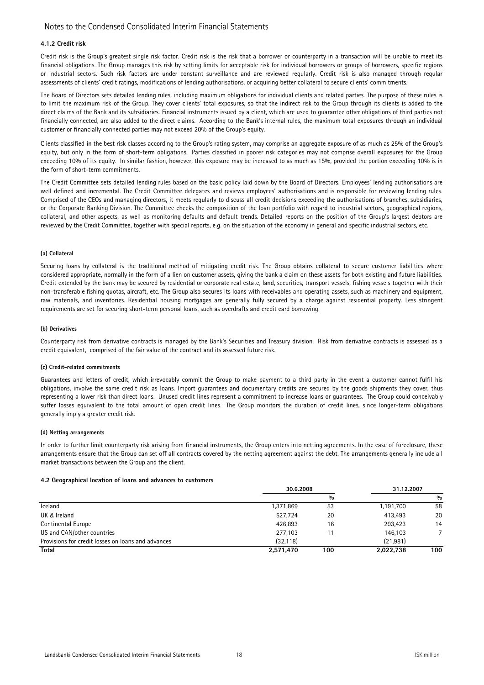### 4.1.2 Credit risk

Credit risk is the Group's greatest single risk factor. Credit risk is the risk that a borrower or counterparty in a transaction will be unable to meet its financial obligations. The Group manages this risk by setting limits for acceptable risk for individual borrowers or groups of borrowers, specific regions or industrial sectors. Such risk factors are under constant surveillance and are reviewed regularly. Credit risk is also managed through regular assessments of clients' credit ratings, modifications of lending authorisations, or acquiring better collateral to secure clients' commitments.

The Board of Directors sets detailed lending rules, including maximum obligations for individual clients and related parties. The purpose of these rules is to limit the maximum risk of the Group. They cover clients' total exposures, so that the indirect risk to the Group through its clients is added to the direct claims of the Bank and its subsidiaries. Financial instruments issued by a client, which are used to guarantee other obligations of third parties not financially connected, are also added to the direct claims. According to the Bank's internal rules, the maximum total exposures through an individual customer or financially connected parties may not exceed 20% of the Group's equity.

Clients classified in the best risk classes according to the Group's rating system, may comprise an aggregate exposure of as much as 25% of the Group's equity, but only in the form of short-term obligations. Parties classified in poorer risk categories may not comprise overall exposures for the Group exceeding 10% of its equity. In similar fashion, however, this exposure may be increased to as much as 15%, provided the portion exceeding 10% is in the form of short-term commitments.

The Credit Committee sets detailed lending rules based on the basic policy laid down by the Board of Directors. Employees' lending authorisations are well defined and incremental. The Credit Committee delegates and reviews employees' authorisations and is responsible for reviewing lending rules. Comprised of the CEOs and managing directors, it meets regularly to discuss all credit decisions exceeding the authorisations of branches, subsidiaries, or the Corporate Banking Division. The Committee checks the composition of the loan portfolio with regard to industrial sectors, geographical regions, collateral, and other aspects, as well as monitoring defaults and default trends. Detailed reports on the position of the Group's largest debtors are reviewed by the Credit Committee, together with special reports, e.g. on the situation of the economy in general and specific industrial sectors, etc.

#### (a) Collateral

Securing loans by collateral is the traditional method of mitigating credit risk. The Group obtains collateral to secure customer liabilities where considered appropriate, normally in the form of a lien on customer assets, giving the bank a claim on these assets for both existing and future liabilities. Credit extended by the bank may be secured by residential or corporate real estate, land, securities, transport vessels, fishing vessels together with their non-transferable fishing quotas, aircraft, etc. The Group also secures its loans with receivables and operating assets, such as machinery and equipment, raw materials, and inventories. Residential housing mortgages are generally fully secured by a charge against residential property. Less stringent requirements are set for securing short-term personal loans, such as overdrafts and credit card borrowing.

#### (b) Derivatives

Counterparty risk from derivative contracts is managed by the Bank's Securities and Treasury division. Risk from derivative contracts is assessed as a credit equivalent, comprised of the fair value of the contract and its assessed future risk.

#### (c) Credit-related commitments

Guarantees and letters of credit, which irrevocably commit the Group to make payment to a third party in the event a customer cannot fulfil his obligations, involve the same credit risk as loans. Import guarantees and documentary credits are secured by the goods shipments they cover, thus representing a lower risk than direct loans. Unused credit lines represent a commitment to increase loans or guarantees. The Group could conceivably suffer losses equivalent to the total amount of open credit lines. The Group monitors the duration of credit lines, since longer-term obligations generally imply a greater credit risk.

#### (d) Netting arrangements

In order to further limit counterparty risk arising from financial instruments, the Group enters into netting agreements. In the case of foreclosure, these arrangements ensure that the Group can set off all contracts covered by the netting agreement against the debt. The arrangements generally include all market transactions between the Group and the client.

#### 4.2 Geographical location of loans and advances to customers

|                                                    | 30.6.2008 |               | 31.12.2007 |               |  |
|----------------------------------------------------|-----------|---------------|------------|---------------|--|
|                                                    |           | $\frac{0}{0}$ |            | $\frac{0}{0}$ |  |
| Iceland                                            | 1,371,869 | 53            | 1,191,700  | 58            |  |
| UK & Ireland                                       | 527.724   | 20            | 413.493    | 20            |  |
| Continental Europe                                 | 426.893   | 16            | 293,423    | 14            |  |
| US and CAN/other countries                         | 277.103   |               | 146,103    |               |  |
| Provisions for credit losses on loans and advances | (32.118)  |               | (21.981)   |               |  |
| Total                                              | 2,571,470 | 100           | 2,022,738  | 100           |  |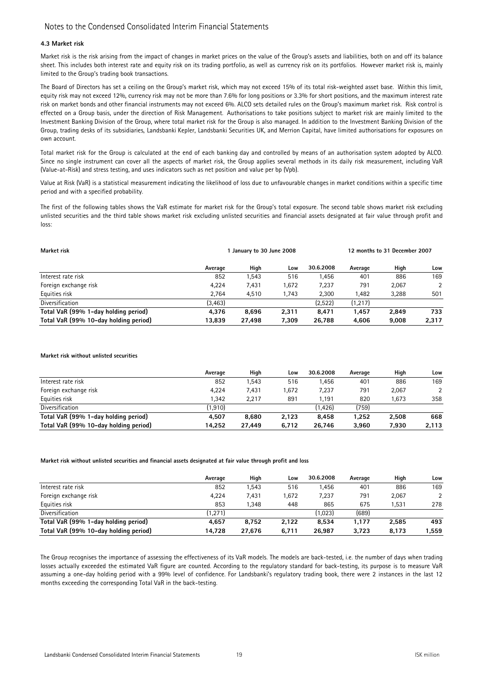### 4.3 Market risk

Market risk is the risk arising from the impact of changes in market prices on the value of the Group's assets and liabilities, both on and off its balance sheet. This includes both interest rate and equity risk on its trading portfolio, as well as currency risk on its portfolios. However market risk is, mainly limited to the Group's trading book transactions.

The Board of Directors has set a ceiling on the Group's market risk, which may not exceed 15% of its total risk-weighted asset base. Within this limit, equity risk may not exceed 12%, currency risk may not be more than 7.6% for long positions or 3.3% for short positions, and the maximum interest rate risk on market bonds and other financial instruments may not exceed 6%. ALCO sets detailed rules on the Group's maximum market risk. Risk control is effected on a Group basis, under the direction of Risk Management. Authorisations to take positions subject to market risk are mainly limited to the Investment Banking Division of the Group, where total market risk for the Group is also managed. In addition to the Investment Banking Division of the Group, trading desks of its subsidiaries, Landsbanki Kepler, Landsbanki Securities UK, and Merrion Capital, have limited authorisations for exposures on own account.

Total market risk for the Group is calculated at the end of each banking day and controlled by means of an authorisation system adopted by ALCO. Since no single instrument can cover all the aspects of market risk, the Group applies several methods in its daily risk measurement, including VaR (Value-at-Risk) and stress testing, and uses indicators such as net position and value per bp (Vpb).

Value at Risk (VaR) is a statistical measurement indicating the likelihood of loss due to unfavourable changes in market conditions within a specific time period and with a specified probability.

The first of the following tables shows the VaR estimate for market risk for the Group's total exposure. The second table shows market risk excluding unlisted securities and the third table shows market risk excluding unlisted securities and financial assets designated at fair value through profit and loss:

| Market risk                           | January to 30 June 2008 |        |       |           | 12 months to 31 December 2007 |       |               |
|---------------------------------------|-------------------------|--------|-------|-----------|-------------------------------|-------|---------------|
|                                       | Average                 | High   | Low   | 30.6.2008 | Average                       | High  | Low           |
| Interest rate risk                    | 852                     | .543   | 516   | l.456     | 401                           | 886   | 169           |
| Foreign exchange risk                 | 4.224                   | 7,431  | 1,672 | 7.237     | 791                           | 2,067 | $\mathcal{P}$ |
| Equities risk                         | 2,764                   | 4,510  | 1,743 | 2,300     | 1,482                         | 3,288 | 501           |
| Diversification                       | (3,463)                 |        |       | (2,522)   | (1,217)                       |       |               |
| Total VaR (99% 1-day holding period)  | 4,376                   | 8,696  | 2,311 | 8.471     | 1.457                         | 2.849 | 733           |
| Total VaR (99% 10-day holding period) | 13,839                  | 27,498 | 7,309 | 26,788    | 4,606                         | 9,008 | 2,317         |

#### Market risk without unlisted securities

|                                       | Average | High   | Low   | 30.6.2008 | Average | High  | Low   |
|---------------------------------------|---------|--------|-------|-----------|---------|-------|-------|
| Interest rate risk                    | 852     | .543   | 516   | l.456     | 401     | 886   | 169   |
| Foreign exchange risk                 | 4.224   | 7.431  | 1,672 | 7.237     | 791     | 2,067 | 2     |
| Equities risk                         | 1.342   | 2.217  | 891   | 1.191     | 820     | 1,673 | 358   |
| Diversification                       | (1,910) |        |       | (1.426)   | (759)   |       |       |
| Total VaR (99% 1-day holding period)  | 4.507   | 8,680  | 2.123 | 8.458     | 1.252   | 2.508 | 668   |
| Total VaR (99% 10-day holding period) | 14.252  | 27.449 | 6.712 | 26.746    | 3,960   | 7,930 | 2,113 |

#### Market risk without unlisted securities and financial assets designated at fair value through profit and loss

|                                       | Average | High   | Low   | 30.6.2008 | Average | High  | Low   |
|---------------------------------------|---------|--------|-------|-----------|---------|-------|-------|
| Interest rate risk                    | 852     | .543   | 516   | 1.456     | 401     | 886   | 169   |
| Foreign exchange risk                 | 4,224   | 7,431  | 1,672 | 7,237     | 791     | 2,067 |       |
| Equities risk                         | 853     | .348   | 448   | 865       | 675     | 1.531 | 278   |
| Diversification                       | (1,271) |        |       | (1,023)   | (689)   |       |       |
| Total VaR (99% 1-day holding period)  | 4,657   | 8,752  | 2.122 | 8,534     | 1.177   | 2,585 | 493   |
| Total VaR (99% 10-day holding period) | 14.728  | 27.676 | 6.711 | 26.987    | 3.723   | 8.173 | 1,559 |

The Group recognises the importance of assessing the effectiveness of its VaR models. The models are back-tested, i.e. the number of days when trading losses actually exceeded the estimated VaR figure are counted. According to the regulatory standard for back-testing, its purpose is to measure VaR assuming a one-day holding period with a 99% level of confidence. For Landsbanki's regulatory trading book, there were 2 instances in the last 12 months exceeding the corresponding Total VaR in the back-testing.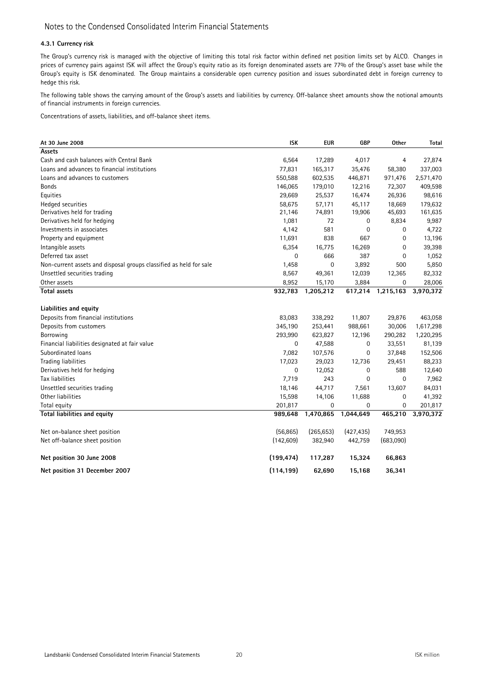### 4.3.1 Currency risk

The Group's currency risk is managed with the objective of limiting this total risk factor within defined net position limits set by ALCO. Changes in prices of currency pairs against ISK will affect the Group's equity ratio as its foreign denominated assets are 77% of the Group's asset base while the Group's equity is ISK denominated. The Group maintains a considerable open currency position and issues subordinated debt in foreign currency to hedge this risk.

The following table shows the carrying amount of the Group's assets and liabilities by currency. Off-balance sheet amounts show the notional amounts of financial instruments in foreign currencies.

Concentrations of assets, liabilities, and off-balance sheet items.

| At 30 June 2008                                                    | <b>ISK</b>  | <b>EUR</b> | <b>GBP</b>  | Other       | Total     |
|--------------------------------------------------------------------|-------------|------------|-------------|-------------|-----------|
| Assets                                                             |             |            |             |             |           |
| Cash and cash balances with Central Bank                           | 6,564       | 17,289     | 4,017       | 4           | 27,874    |
| Loans and advances to financial institutions                       | 77,831      | 165,317    | 35,476      | 58,380      | 337,003   |
| Loans and advances to customers                                    | 550,588     | 602,535    | 446,871     | 971,476     | 2,571,470 |
| Bonds                                                              | 146,065     | 179,010    | 12,216      | 72,307      | 409,598   |
| Equities                                                           | 29,669      | 25,537     | 16,474      | 26,936      | 98,616    |
| Hedged securities                                                  | 58,675      | 57,171     | 45,117      | 18,669      | 179,632   |
| Derivatives held for trading                                       | 21,146      | 74,891     | 19,906      | 45,693      | 161,635   |
| Derivatives held for hedging                                       | 1,081       | 72         | 0           | 8,834       | 9,987     |
| Investments in associates                                          | 4,142       | 581        | $\mathbf 0$ | $\mathbf 0$ | 4,722     |
| Property and equipment                                             | 11,691      | 838        | 667         | 0           | 13,196    |
| Intangible assets                                                  | 6,354       | 16,775     | 16,269      | 0           | 39,398    |
| Deferred tax asset                                                 | 0           | 666        | 387         | 0           | 1,052     |
| Non-current assets and disposal groups classified as held for sale | 1,458       | 0          | 3,892       | 500         | 5,850     |
| Unsettled securities trading                                       | 8,567       | 49,361     | 12,039      | 12,365      | 82,332    |
| Other assets                                                       | 8,952       | 15,170     | 3,884       | 0           | 28,006    |
| <b>Total assets</b>                                                | 932,783     | 1,205,212  | 617,214     | 1,215,163   | 3,970,372 |
|                                                                    |             |            |             |             |           |
| Liabilities and equity                                             |             |            |             |             |           |
| Deposits from financial institutions                               | 83,083      | 338,292    | 11,807      | 29,876      | 463,058   |
| Deposits from customers                                            | 345,190     | 253,441    | 988,661     | 30,006      | 1,617,298 |
| Borrowing                                                          | 293,990     | 623,827    | 12,196      | 290,282     | 1,220,295 |
| Financial liabilities designated at fair value                     | 0           | 47,588     | 0           | 33,551      | 81,139    |
| Subordinated loans                                                 | 7,082       | 107,576    | 0           | 37,848      | 152,506   |
| Trading liabilities                                                | 17,023      | 29,023     | 12,736      | 29,451      | 88,233    |
| Derivatives held for hedging                                       | $\mathbf 0$ | 12,052     | $\mathbf 0$ | 588         | 12,640    |
| Tax liabilities                                                    | 7,719       | 243        | $\mathbf 0$ | $\mathbf 0$ | 7,962     |
| Unsettled securities trading                                       | 18,146      | 44,717     | 7,561       | 13,607      | 84,031    |
| Other liabilities                                                  | 15,598      | 14,106     | 11,688      | 0           | 41,392    |
| Total equity                                                       | 201,817     | 0          | 0           | 0           | 201,817   |
| Total liabilities and equity                                       | 989,648     | 1,470,865  | 1,044,649   | 465,210     | 3,970,372 |
| Net on-balance sheet position                                      | (56, 865)   | (265, 653) | (427, 435)  | 749,953     |           |
| Net off-balance sheet position                                     | (142,609)   | 382,940    | 442,759     | (683,090)   |           |
| Net position 30 June 2008                                          | (199, 474)  | 117,287    | 15,324      | 66,863      |           |
| Net position 31 December 2007                                      | (114, 199)  | 62,690     | 15,168      | 36,341      |           |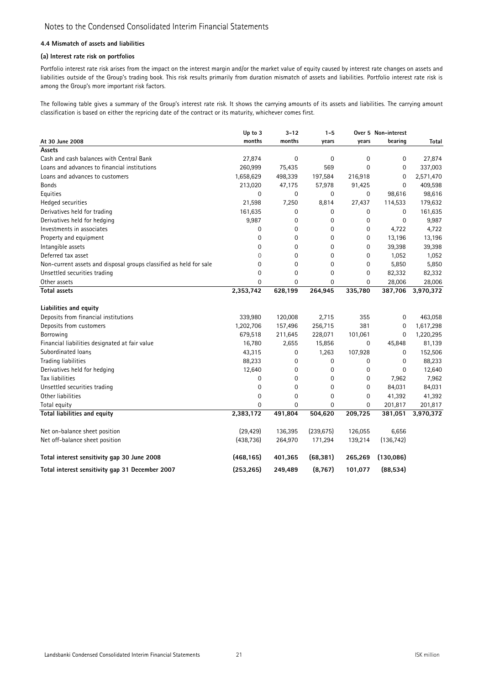### 4.4 Mismatch of assets and liabilities

### (a) Interest rate risk on portfolios

Portfolio interest rate risk arises from the impact on the interest margin and/or the market value of equity caused by interest rate changes on assets and liabilities outside of the Group's trading book. This risk results primarily from duration mismatch of assets and liabilities. Portfolio interest rate risk is among the Group's more important risk factors.

The following table gives a summary of the Group's interest rate risk. It shows the carrying amounts of its assets and liabilities. The carrying amount classification is based on either the repricing date of the contract or its maturity, whichever comes first.

|                                                                    | Up to 3     | $3 - 12$    | $1 - 5$     |             | Over 5 Non-interest |           |
|--------------------------------------------------------------------|-------------|-------------|-------------|-------------|---------------------|-----------|
| At 30 June 2008                                                    | months      | months      | years       | years       | bearing             | Total     |
| <b>Assets</b>                                                      |             |             |             |             |                     |           |
| Cash and cash balances with Central Bank                           | 27,874      | $\mathbf 0$ | $\mathbf 0$ | $\mathbf 0$ | 0                   | 27,874    |
| Loans and advances to financial institutions                       | 260,999     | 75,435      | 569         | $\Omega$    | 0                   | 337,003   |
| Loans and advances to customers                                    | 1,658,629   | 498,339     | 197,584     | 216,918     | 0                   | 2,571,470 |
| <b>Bonds</b>                                                       | 213,020     | 47,175      | 57,978      | 91,425      | 0                   | 409,598   |
| Equities                                                           | $\mathbf 0$ | $\mathbf 0$ | 0           | 0           | 98,616              | 98,616    |
| Hedged securities                                                  | 21,598      | 7,250       | 8,814       | 27,437      | 114,533             | 179,632   |
| Derivatives held for trading                                       | 161,635     | 0           | 0           | 0           | 0                   | 161,635   |
| Derivatives held for hedging                                       | 9,987       | $\pmb{0}$   | 0           | 0           | 0                   | 9,987     |
| Investments in associates                                          | 0           | 0           | 0           | 0           | 4,722               | 4,722     |
| Property and equipment                                             | $\mathbf 0$ | 0           | $\mathbf 0$ | 0           | 13,196              | 13,196    |
| Intangible assets                                                  | 0           | 0           | 0           | $\mathbf 0$ | 39,398              | 39,398    |
| Deferred tax asset                                                 | 0           | 0           | 0           | 0           | 1,052               | 1,052     |
| Non-current assets and disposal groups classified as held for sale | 0           | 0           | $\mathbf 0$ | $\mathbf 0$ | 5,850               | 5,850     |
| Unsettled securities trading                                       | 0           | 0           | $\mathbf 0$ | 0           | 82,332              | 82,332    |
| Other assets                                                       | 0           | 0           | 0           | $\mathbf 0$ | 28,006              | 28,006    |
| <b>Total assets</b>                                                | 2,353,742   | 628,199     | 264,945     | 335,780     | 387,706             | 3,970,372 |
| Liabilities and equity                                             |             |             |             |             |                     |           |
| Deposits from financial institutions                               | 339,980     | 120,008     | 2,715       | 355         | $\mathbf 0$         | 463,058   |
| Deposits from customers                                            | 1,202,706   | 157,496     | 256,715     | 381         | 0                   | 1,617,298 |
| Borrowing                                                          | 679,518     | 211,645     | 228,071     | 101,061     | 0                   | 1,220,295 |
| Financial liabilities designated at fair value                     | 16,780      | 2,655       | 15,856      | 0           | 45,848              | 81,139    |
| Subordinated loans                                                 | 43,315      | 0           | 1,263       | 107,928     | 0                   | 152,506   |
| <b>Trading liabilities</b>                                         | 88,233      | 0           | 0           | 0           | 0                   | 88,233    |
| Derivatives held for hedging                                       | 12,640      | $\mathbf 0$ | 0           | 0           | 0                   | 12,640    |
| Tax liabilities                                                    | $\mathbf 0$ | $\mathbf 0$ | 0           | 0           | 7,962               | 7,962     |
| Unsettled securities trading                                       | $\mathbf 0$ | 0           | 0           | 0           | 84,031              | 84,031    |
| Other liabilities                                                  | $\mathbf 0$ | 0           | 0           | $\mathbf 0$ | 41,392              | 41,392    |
| Total equity                                                       | 0           | 0           | 0           | 0           | 201,817             | 201,817   |
| Total liabilities and equity                                       | 2,383,172   | 491,804     | 504,620     | 209,725     | 381,051             | 3,970,372 |
| Net on-balance sheet position                                      | (29, 429)   | 136,395     | (239, 675)  | 126,055     | 6,656               |           |
| Net off-balance sheet position                                     | (438, 736)  | 264,970     | 171,294     | 139,214     | (136, 742)          |           |
| Total interest sensitivity gap 30 June 2008                        | (468, 165)  | 401,365     | (68, 381)   | 265,269     | (130, 086)          |           |
| Total interest sensitivity gap 31 December 2007                    | (253, 265)  | 249,489     | (8, 767)    | 101,077     | (88, 534)           |           |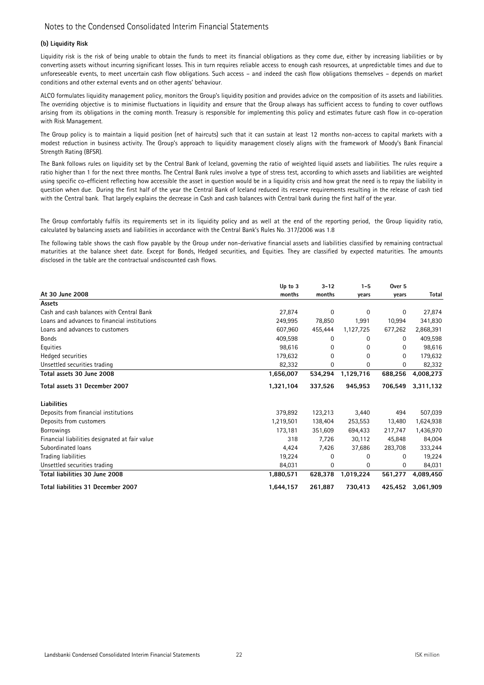### (b) Liquidity Risk

Liquidity risk is the risk of being unable to obtain the funds to meet its financial obligations as they come due, either by increasing liabilities or by converting assets without incurring significant losses. This in turn requires reliable access to enough cash resources, at unpredictable times and due to unforeseeable events, to meet uncertain cash flow obligations. Such access – and indeed the cash flow obligations themselves – depends on market conditions and other external events and on other agents' behaviour.

ALCO formulates liquidity management policy, monitors the Group's liquidity position and provides advice on the composition of its assets and liabilities. The overriding objective is to minimise fluctuations in liquidity and ensure that the Group always has sufficient access to funding to cover outflows arising from its obligations in the coming month. Treasury is responsible for implementing this policy and estimates future cash flow in co-operation with Risk Management.

The Group policy is to maintain a liquid position (net of haircuts) such that it can sustain at least 12 months non-access to capital markets with a modest reduction in business activity. The Group's approach to liquidity management closely aligns with the framework of Moody's Bank Financial Strength Rating (BFSR).

The Bank follows rules on liquidity set by the Central Bank of Iceland, governing the ratio of weighted liquid assets and liabilities. The rules require a ratio higher than 1 for the next three months. The Central Bank rules involve a type of stress test, according to which assets and liabilities are weighted using specific co-efficient reflecting how accessible the asset in question would be in a liquidity crisis and how great the need is to repay the liability in question when due. During the first half of the year the Central Bank of Iceland reduced its reserve requirements resulting in the release of cash tied with the Central bank. That largely explains the decrease in Cash and cash balances with Central bank during the first half of the year.

The Group comfortably fulfils its requirements set in its liquidity policy and as well at the end of the reporting period, the Group liquidity ratio, calculated by balancing assets and liabilities in accordance with the Central Bank's Rules No. 317/2006 was 1.8

The following table shows the cash flow payable by the Group under non-derivative financial assets and liabilities classified by remaining contractual maturities at the balance sheet date. Except for Bonds, Hedged securities, and Equities. They are classified by expected maturities. The amounts disclosed in the table are the contractual undiscounted cash flows.

|                                                | Up to 3   | $3 - 12$ | $1 - 5$     | Over 5   |           |
|------------------------------------------------|-----------|----------|-------------|----------|-----------|
| At 30 June 2008                                | months    | months   | years       | years    | Total     |
| Assets                                         |           |          |             |          |           |
| Cash and cash balances with Central Bank       | 27,874    | 0        | $\mathbf 0$ | 0        | 27,874    |
| Loans and advances to financial institutions   | 249,995   | 78,850   | 1,991       | 10,994   | 341,830   |
| Loans and advances to customers                | 607,960   | 455,444  | 1,127,725   | 677,262  | 2,868,391 |
| <b>Bonds</b>                                   | 409,598   | 0        | 0           | 0        | 409,598   |
| Equities                                       | 98,616    | 0        | 0           | 0        | 98,616    |
| Hedged securities                              | 179,632   | 0        | $\Omega$    | $\Omega$ | 179,632   |
| Unsettled securities trading                   | 82,332    | 0        | 0           | 0        | 82,332    |
| Total assets 30 June 2008                      | 1,656,007 | 534,294  | 1,129,716   | 688,256  | 4,008,273 |
| Total assets 31 December 2007                  | 1,321,104 | 337,526  | 945,953     | 706,549  | 3,311,132 |
| Liabilities                                    |           |          |             |          |           |
| Deposits from financial institutions           | 379,892   | 123,213  | 3,440       | 494      | 507,039   |
| Deposits from customers                        | 1,219,501 | 138,404  | 253,553     | 13,480   | 1,624,938 |
| <b>Borrowings</b>                              | 173,181   | 351,609  | 694,433     | 217,747  | 1,436,970 |
| Financial liabilities designated at fair value | 318       | 7,726    | 30,112      | 45,848   | 84,004    |
| Subordinated loans                             | 4,424     | 7,426    | 37,686      | 283,708  | 333,244   |
| Trading liabilities                            | 19,224    | 0        | 0           | 0        | 19,224    |
| Unsettled securities trading                   | 84,031    | 0        | 0           | 0        | 84,031    |
| Total liabilities 30 June 2008                 | 1,880,571 | 628,378  | 1,019,224   | 561,277  | 4,089,450 |
| Total liabilities 31 December 2007             | 1,644,157 | 261,887  | 730,413     | 425,452  | 3,061,909 |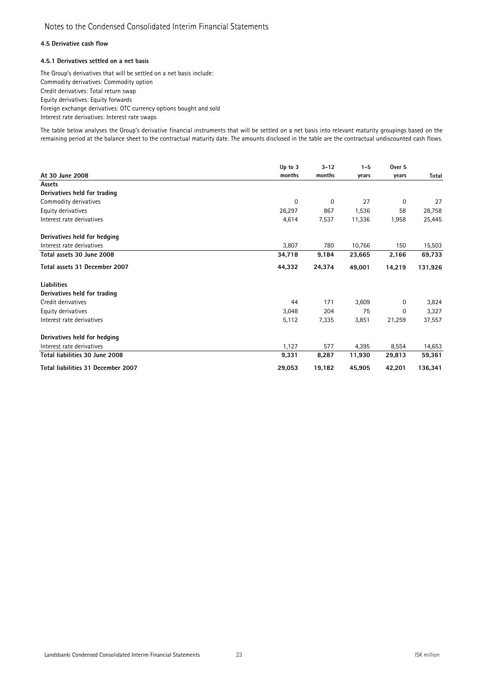### 4.5 Derivative cash flow

### 4.5.1 Derivatives settled on a net basis

The Group's derivatives that will be settled on a net basis include: Commodity derivatives: Commodity option Credit derivatives: Total return swap Equity derivatives: Equity forwards Foreign exchange derivatives: OTC currency options bought and sold Interest rate derivatives: Interest rate swaps

The table below analyses the Group's derivative financial instruments that will be settled on a net basis into relevant maturity groupings based on the remaining period at the balance sheet to the contractual maturity date. The amounts disclosed in the table are the contractual undiscounted cash flows.

|                                    | Up to 3     | $3 - 12$ | $1 - 5$ | Over <sub>5</sub> |              |
|------------------------------------|-------------|----------|---------|-------------------|--------------|
| At 30 June 2008                    | months      | months   | years   | years             | <b>Total</b> |
| Assets                             |             |          |         |                   |              |
| Derivatives held for trading       |             |          |         |                   |              |
| Commodity derivatives              | $\mathbf 0$ | 0        | 27      | 0                 | 27           |
| Equity derivatives                 | 26,297      | 867      | 1,536   | 58                | 28,758       |
| Interest rate derivatives          | 4,614       | 7,537    | 11,336  | 1,958             | 25,445       |
| Derivatives held for hedging       |             |          |         |                   |              |
| Interest rate derivatives          | 3,807       | 780      | 10,766  | 150               | 15,503       |
| Total assets 30 June 2008          | 34,718      | 9,184    | 23,665  | 2,166             | 69,733       |
| Total assets 31 December 2007      | 44,332      | 24,374   | 49,001  | 14,219            | 131,926      |
| <b>Liabilities</b>                 |             |          |         |                   |              |
| Derivatives held for trading       |             |          |         |                   |              |
| Credit derivatives                 | 44          | 171      | 3,609   | 0                 | 3,824        |
| Equity derivatives                 | 3,048       | 204      | 75      | 0                 | 3,327        |
| Interest rate derivatives          | 5,112       | 7,335    | 3,851   | 21,259            | 37,557       |
| Derivatives held for hedging       |             |          |         |                   |              |
| Interest rate derivatives          | 1,127       | 577      | 4,395   | 8,554             | 14,653       |
| Total liabilities 30 June 2008     | 9,331       | 8,287    | 11,930  | 29,813            | 59,361       |
| Total liabilities 31 December 2007 | 29,053      | 19,182   | 45,905  | 42,201            | 136,341      |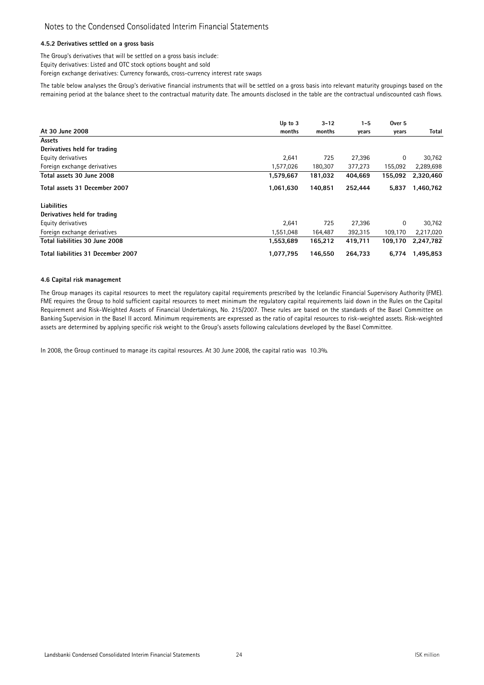### 4.5.2 Derivatives settled on a gross basis

The Group's derivatives that will be settled on a gross basis include:

Equity derivatives: Listed and OTC stock options bought and sold

Foreign exchange derivatives: Currency forwards, cross-currency interest rate swaps

The table below analyses the Group's derivative financial instruments that will be settled on a gross basis into relevant maturity groupings based on the remaining period at the balance sheet to the contractual maturity date. The amounts disclosed in the table are the contractual undiscounted cash flows.

|                                    | Up to $3$ | $3 - 12$ | $1 - 5$ | Over 5  |           |
|------------------------------------|-----------|----------|---------|---------|-----------|
| At 30 June 2008                    | months    | months   | years   | years   | Total     |
| Assets                             |           |          |         |         |           |
| Derivatives held for trading       |           |          |         |         |           |
| Equity derivatives                 | 2,641     | 725      | 27,396  | 0       | 30,762    |
| Foreign exchange derivatives       | 1,577,026 | 180,307  | 377,273 | 155,092 | 2,289,698 |
| Total assets 30 June 2008          | 1,579,667 | 181,032  | 404,669 | 155,092 | 2,320,460 |
| Total assets 31 December 2007      | 1,061,630 | 140.851  | 252.444 | 5.837   | 1,460,762 |
| <b>Liabilities</b>                 |           |          |         |         |           |
| Derivatives held for trading       |           |          |         |         |           |
| Equity derivatives                 | 2,641     | 725      | 27,396  | 0       | 30,762    |
| Foreign exchange derivatives       | 1,551,048 | 164,487  | 392,315 | 109,170 | 2,217,020 |
| Total liabilities 30 June 2008     | 1,553,689 | 165,212  | 419,711 | 109.170 | 2,247,782 |
| Total liabilities 31 December 2007 | 1,077,795 | 146.550  | 264,733 | 6.774   | 1,495,853 |

#### 4.6 Capital risk management

The Group manages its capital resources to meet the regulatory capital requirements prescribed by the Icelandic Financial Supervisory Authority (FME). FME requires the Group to hold sufficient capital resources to meet minimum the regulatory capital requirements laid down in the Rules on the Capital Requirement and Risk-Weighted Assets of Financial Undertakings, No. 215/2007. These rules are based on the standards of the Basel Committee on Banking Supervision in the Basel II accord. Minimum requirements are expressed as the ratio of capital resources to risk-weighted assets. Risk-weighted assets are determined by applying specific risk weight to the Group's assets following calculations developed by the Basel Committee.

In 2008, the Group continued to manage its capital resources. At 30 June 2008, the capital ratio was 10.3%**.**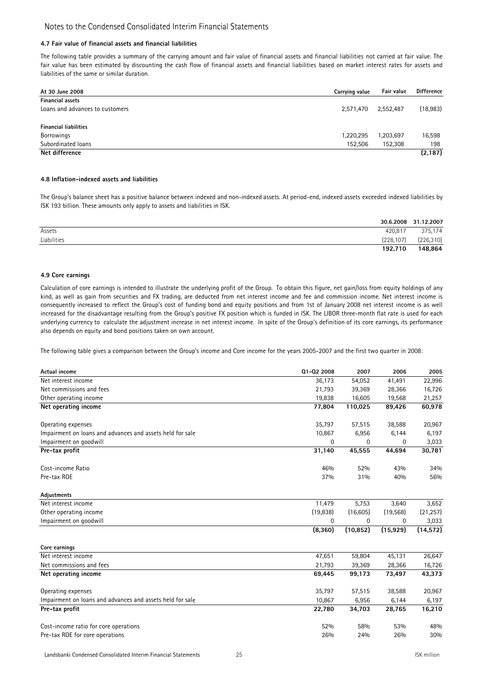### 4.7 Fair value of financial assets and financial liabilities

The following table provides a summary of the carrying amount and fair value of financial assets and financial liabilities not carried at fair value. The fair value has been estimated by discounting the cash flow of financial assets and financial liabilities based on market interest rates for assets and liabilities of the same or similar duration.

| At 30 June 2008                 | Carrying value | Fair value | <b>Difference</b> |
|---------------------------------|----------------|------------|-------------------|
| <b>Financial assets</b>         |                |            |                   |
| Loans and advances to customers | 2,571,470      | 2,552,487  | (18, 983)         |
| <b>Financial liabilities</b>    |                |            |                   |
| <b>Borrowings</b>               | 1,220,295      | 1,203,697  | 16,598            |
| Subordinated loans              | 152,506        | 152,308    | 198               |
| Net difference                  |                |            | (2, 187)          |

#### 4.8 Inflation-indexed assets and liabilities

The Group's balance sheet has a positive balance between indexed and non-indexed assets. At period-end, indexed assets exceeded indexed liabilities by ISK 193 billion. These amounts only apply to assets and liabilities in ISK.

|             |            | 30.6.2008 31.12.2007 |
|-------------|------------|----------------------|
| Assets      | 420.817    | 375,174              |
| Liabilities | (228, 107) | (226, 310)           |
|             | 192.710    | 148,864              |

#### 4.9 Core earnings

Calculation of core earnings is intended to illustrate the underlying profit of the Group. To obtain this figure, net gain/loss from equity holdings of any kind, as well as gain from securities and FX trading, are deducted from net interest income and fee and commission income. Net interest income is consequently increased to reflect the Group's cost of funding bond and equity positions and from 1st of January 2008 net interest income is as well increased for the disadvantage resulting from the Group's positive FX position which is funded in ISK. The LIBOR three-month flat rate is used for each underlying currency to calculate the adjustment increase in net interest income. In spite of the Group's definition of its core earnings, its performance also depends on equity and bond positions taken on own account.

The following table gives a comparison between the Group's income and Core income for the years 2005-2007 and the first two quarter in 2008:

| Actual income                                             | Q1-Q2 2008 | 2007      | 2006      | 2005      |
|-----------------------------------------------------------|------------|-----------|-----------|-----------|
| Net interest income                                       | 36,173     | 54,052    | 41,491    | 22,996    |
| Net commissions and fees                                  | 21,793     | 39,369    | 28,366    | 16,726    |
| Other operating income                                    | 19,838     | 16,605    | 19,568    | 21,257    |
| Net operating income                                      | 77,804     | 110,025   | 89,426    | 60,978    |
| Operating expenses                                        | 35,797     | 57,515    | 38,588    | 20,967    |
| Impairment on loans and advances and assets held for sale | 10,867     | 6,956     | 6,144     | 6,197     |
| Impairment on goodwill                                    | 0          | $\Omega$  | 0         | 3,033     |
| Pre-tax profit                                            | 31,140     | 45,555    | 44,694    | 30,781    |
| Cost-income Ratio                                         | 46%        | 52%       | 43%       | 34%       |
| Pre-tax ROE                                               | 37%        | 31%       | 40%       | 56%       |
| Adjustments                                               |            |           |           |           |
| Net interest income                                       | 11,479     | 5,753     | 3,640     | 3,652     |
| Other operating income                                    | (19, 838)  | (16, 605) | (19, 568) | (21, 257) |
| Impairment on goodwill                                    | 0          | 0         | 0         | 3,033     |
|                                                           | (8,360)    | (10, 852) | (15, 929) | (14, 572) |
| Core earnings                                             |            |           |           |           |
| Net interest income                                       | 47,651     | 59,804    | 45,131    | 26,647    |
| Net commissions and fees                                  | 21,793     | 39,369    | 28,366    | 16,726    |
| Net operating income                                      | 69,445     | 99,173    | 73,497    | 43,373    |
| Operating expenses                                        | 35,797     | 57,515    | 38,588    | 20,967    |
| Impairment on loans and advances and assets held for sale | 10,867     | 6,956     | 6,144     | 6,197     |
| Pre-tax profit                                            | 22,780     | 34,703    | 28,765    | 16,210    |
| Cost-income ratio for core operations                     | 52%        | 58%       | 53%       | 48%       |
| Pre-tax ROE for core operations                           | 26%        | 24%       | 26%       | 30%       |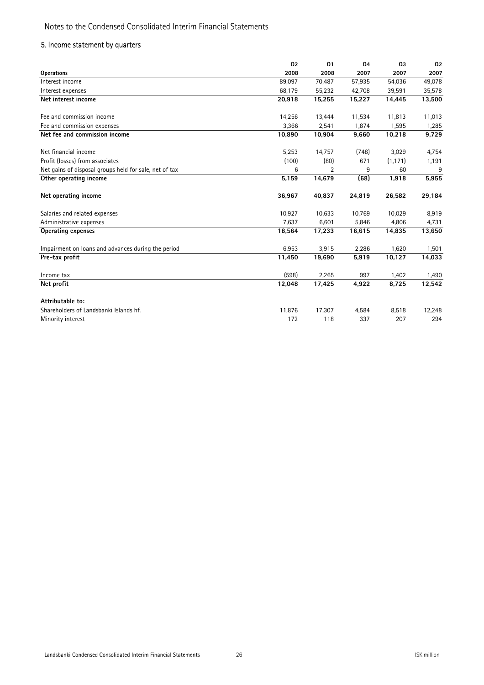### 5. Income statement by quarters

|                                                        | Q <sub>2</sub> | Q <sub>1</sub> | Q <sub>4</sub> | Q <sub>3</sub> | Q <sub>2</sub> |
|--------------------------------------------------------|----------------|----------------|----------------|----------------|----------------|
| <b>Operations</b>                                      | 2008           | 2008           | 2007           | 2007           | 2007           |
| Interest income                                        | 89,097         | 70,487         | 57,935         | 54,036         | 49,078         |
| Interest expenses                                      | 68,179         | 55,232         | 42,708         | 39,591         | 35,578         |
| Net interest income                                    | 20,918         | 15,255         | 15,227         | 14.445         | 13,500         |
| Fee and commission income                              | 14,256         | 13,444         | 11,534         | 11,813         | 11,013         |
| Fee and commission expenses                            | 3,366          | 2,541          | 1,874          | 1,595          | 1,285          |
| Net fee and commission income                          | 10,890         | 10,904         | 9,660          | 10,218         | 9,729          |
| Net financial income                                   | 5,253          | 14,757         | (748)          | 3,029          | 4,754          |
| Profit (losses) from associates                        | (100)          | (80)           | 671            | (1, 171)       | 1,191          |
| Net gains of disposal groups held for sale, net of tax | 6              | 2              | 9              | 60             | 9              |
| Other operating income                                 | 5,159          | 14,679         | (68)           | 1,918          | 5,955          |
| Net operating income                                   | 36,967         | 40,837         | 24,819         | 26,582         | 29,184         |
| Salaries and related expenses                          | 10,927         | 10,633         | 10,769         | 10,029         | 8,919          |
| Administrative expenses                                | 7,637          | 6,601          | 5,846          | 4,806          | 4,731          |
| <b>Operating expenses</b>                              | 18,564         | 17,233         | 16,615         | 14,835         | 13,650         |
| Impairment on loans and advances during the period     | 6,953          | 3,915          | 2,286          | 1,620          | 1,501          |
| Pre-tax profit                                         | 11,450         | 19,690         | 5,919          | 10,127         | 14,033         |
| Income tax                                             | (598)          | 2,265          | 997            | 1,402          | 1,490          |
| Net profit                                             | 12,048         | 17,425         | 4,922          | 8,725          | 12,542         |
| Attributable to:                                       |                |                |                |                |                |
| Shareholders of Landsbanki Islands hf.                 | 11,876         | 17,307         | 4,584          | 8,518          | 12,248         |
| Minority interest                                      | 172            | 118            | 337            | 207            | 294            |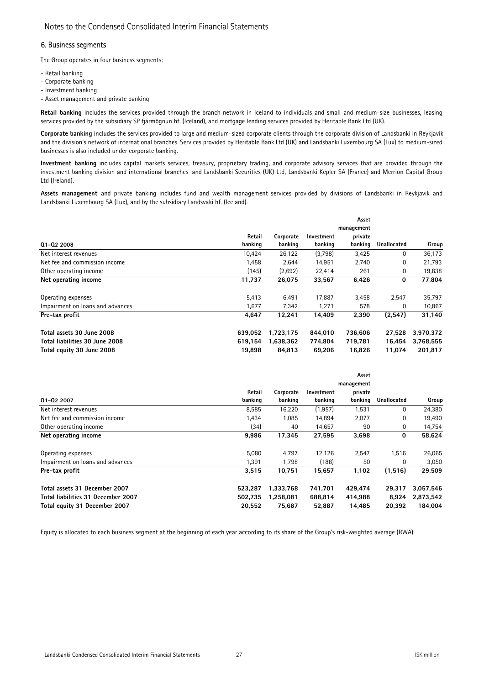### 6. Business segments

The Group operates in four business segments:

- Retail banking
- Corporate banking
- Investment banking
- Asset management and private banking

Retail banking includes the services provided through the branch network in Iceland to individuals and small and medium-size businesses, leasing services provided by the subsidiary SP fjármögnun hf. (Iceland), and mortgage lending services provided by Heritable Bank Ltd (UK).

Corporate banking includes the services provided to large and medium-sized corporate clients through the corporate division of Landsbanki in Reykjavik and the division's network of international branches. Services provided by Heritable Bank Ltd (UK) and Landsbanki Luxembourg SA (Lux) to medium-sized businesses is also included under corporate banking.

Investment banking includes capital markets services, treasury, proprietary trading, and corporate advisory services that are provided through the investment banking division and international branches and Landsbanki Securities (UK) Ltd, Landsbanki Kepler SA (France) and Merrion Capital Group Ltd (Ireland).

Assets management and private banking includes fund and wealth management services provided by divisions of Landsbanki in Reykjavik and Landsbanki Luxembourg SA (Lux), and by the subsidiary Landsvaki hf. (Iceland).

|                                  |         |           |            | Asset<br>management |             |           |
|----------------------------------|---------|-----------|------------|---------------------|-------------|-----------|
|                                  | Retail  | Corporate | Investment | private             |             |           |
| Q1-Q2 2008                       | banking | banking   | banking    | banking             | Unallocated | Group     |
| Net interest revenues            | 10,424  | 26,122    | (3,798)    | 3,425               | 0           | 36,173    |
| Net fee and commission income    | 1,458   | 2,644     | 14,951     | 2,740               | 0           | 21,793    |
| Other operating income           | (145)   | (2,692)   | 22,414     | 261                 | 0           | 19,838    |
| Net operating income             | 11,737  | 26.075    | 33,567     | 6,426               | 0           | 77,804    |
| Operating expenses               | 5,413   | 6,491     | 17,887     | 3,458               | 2,547       | 35,797    |
| Impairment on loans and advances | 1,677   | 7,342     | 1,271      | 578                 | $\Omega$    | 10,867    |
| Pre-tax profit                   | 4,647   | 12,241    | 14,409     | 2,390               | (2,547)     | 31,140    |
| Total assets 30 June 2008        | 639.052 | 1,723,175 | 844,010    | 736,606             | 27,528      | 3,970,372 |
| Total liabilities 30 June 2008   | 619,154 | 1.638.362 | 774,804    | 719,781             | 16.454      | 3,768,555 |
| Total equity 30 June 2008        | 19.898  | 84.813    | 69.206     | 16.826              | 11.074      | 201.817   |

|                                    |         |           |            | Asset      |             |           |
|------------------------------------|---------|-----------|------------|------------|-------------|-----------|
|                                    |         |           |            | management |             |           |
|                                    | Retail  | Corporate | Investment | private    |             |           |
| Q1-Q2 2007                         | banking | banking   | banking    | banking    | Unallocated | Group     |
| Net interest revenues              | 8,585   | 16,220    | (1, 957)   | 1,531      | 0           | 24,380    |
| Net fee and commission income      | 1,434   | 1,085     | 14,894     | 2,077      | 0           | 19,490    |
| Other operating income             | (34)    | 40        | 14,657     | 90         | 0           | 14,754    |
| Net operating income               | 9,986   | 17,345    | 27,595     | 3,698      | 0           | 58,624    |
| Operating expenses                 | 5,080   | 4,797     | 12,126     | 2,547      | 1,516       | 26,065    |
| Impairment on loans and advances   | 1,391   | 1,798     | (188)      | 50         | $\Omega$    | 3,050     |
| Pre-tax profit                     | 3,515   | 10,751    | 15,657     | 1,102      | (1,516)     | 29,509    |
| Total assets 31 December 2007      | 523,287 | 1,333,768 | 741,701    | 429,474    | 29,317      | 3,057,546 |
| Total liabilities 31 December 2007 | 502.735 | 1.258.081 | 688,814    | 414,988    | 8.924       | 2,873,542 |
| Total equity 31 December 2007      | 20,552  | 75,687    | 52,887     | 14,485     | 20.392      | 184,004   |

Equity is allocated to each business segment at the beginning of each year according to its share of the Group's risk-weighted average (RWA).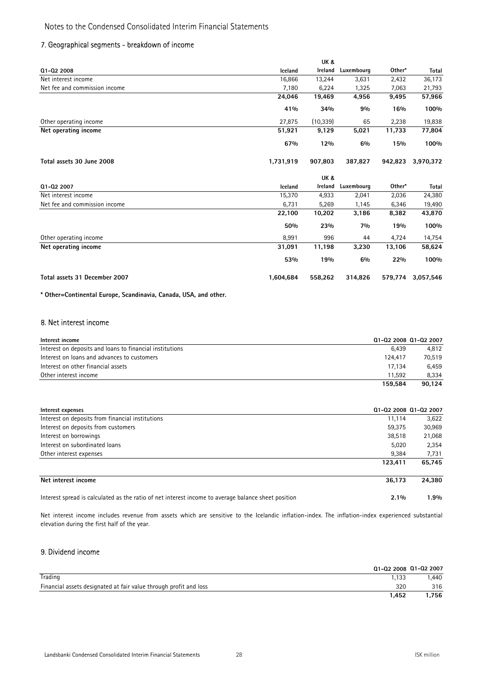### 7. Geographical segments - breakdown of income

|                               |           | UK &      |            |         |           |
|-------------------------------|-----------|-----------|------------|---------|-----------|
| Q1-Q2 2008                    | Iceland   | Ireland   | Luxembourg | Other*  | Total     |
| Net interest income           | 16,866    | 13,244    | 3,631      | 2,432   | 36,173    |
| Net fee and commission income | 7,180     | 6,224     | 1,325      | 7,063   | 21,793    |
|                               | 24,046    | 19,469    | 4,956      | 9,495   | 57,966    |
|                               | 41%       | 34%       | 9%         | 16%     | 100%      |
| Other operating income        | 27,875    | (10, 339) | 65         | 2,238   | 19,838    |
| Net operating income          | 51,921    | 9,129     | 5,021      | 11,733  | 77,804    |
|                               | 67%       | 12%       | 6%         | 15%     | 100%      |
| Total assets 30 June 2008     | 1,731,919 | 907,803   | 387,827    | 942,823 | 3,970,372 |
|                               |           | UK &      |            |         |           |

| 01-02 2007                    | <b>Iceland</b> | Ireland | Luxembourg | Other*  | Total     |
|-------------------------------|----------------|---------|------------|---------|-----------|
| Net interest income           | 15,370         | 4,933   | 2,041      | 2,036   | 24,380    |
| Net fee and commission income | 6,731          | 5,269   | 1,145      | 6,346   | 19,490    |
|                               | 22,100         | 10,202  | 3,186      | 8,382   | 43,870    |
|                               | 50%            | 23%     | 7%         | 19%     | 100%      |
| Other operating income        | 8.991          | 996     | 44         | 4.724   | 14,754    |
| Net operating income          | 31,091         | 11,198  | 3,230      | 13,106  | 58,624    |
|                               | 53%            | 19%     | 6%         | 22%     | 100%      |
| Total assets 31 December 2007 | 1.604.684      | 558,262 | 314.826    | 579.774 | 3,057,546 |

\* Other=Continental Europe, Scandinavia, Canada, USA, and other.

### 8. Net interest income

| Interest income                                          | Q1-Q2 2008 Q1-Q2 2007 |        |
|----------------------------------------------------------|-----------------------|--------|
| Interest on deposits and loans to financial institutions | 6.439                 | 4.812  |
| Interest on loans and advances to customers              | 124,417               | 70.519 |
| Interest on other financial assets                       | 17.134                | 6.459  |
| Other interest income                                    | 11.592                | 8.334  |
|                                                          | 159.584               | 90.124 |

| Interest expenses                                                                                   | Q1-Q2 2008 Q1-Q2 2007 |        |
|-----------------------------------------------------------------------------------------------------|-----------------------|--------|
| Interest on deposits from financial institutions                                                    | 11.114                | 3,622  |
| Interest on deposits from customers                                                                 | 59,375                | 30,969 |
| Interest on borrowings                                                                              | 38,518                | 21,068 |
| Interest on subordinated loans                                                                      | 5,020                 | 2,354  |
| Other interest expenses                                                                             | 9.384                 | 7,731  |
|                                                                                                     | 123.411               | 65.745 |
| Net interest income                                                                                 | 36.173                | 24.380 |
| Interest spread is calculated as the ratio of net interest income to average balance sheet position | $2.1\%$               | 1.9%   |

Net interest income includes revenue from assets which are sensitive to the Icelandic inflation-index. The inflation-index experienced substantial elevation during the first half of the year.

### 9. Dividend income

|                                                                   | Q1-Q2 2008 Q1-Q2 2007 |      |
|-------------------------------------------------------------------|-----------------------|------|
| Trading                                                           | 1.133                 | .440 |
| Financial assets designated at fair value through profit and loss | 320                   | 316  |
|                                                                   | .452                  | .756 |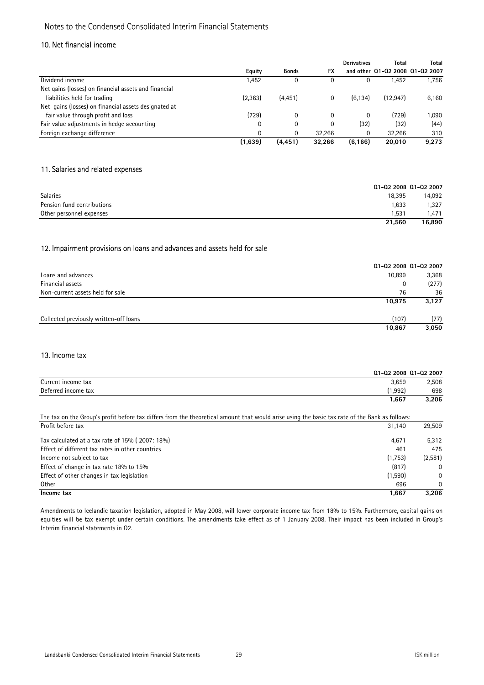### 10. Net financial income

|                                                      |          |              |           | <b>Derivatives</b> | Total                           | Total |
|------------------------------------------------------|----------|--------------|-----------|--------------------|---------------------------------|-------|
|                                                      | Equity   | <b>Bonds</b> | <b>FX</b> |                    | and other 01-02 2008 01-02 2007 |       |
| Dividend income                                      | 1,452    | 0            | 0         | 0                  | 1.452                           | 1.756 |
| Net gains (losses) on financial assets and financial |          |              |           |                    |                                 |       |
| liabilities held for trading                         | (2,363)  | (4, 451)     | 0         | (6, 134)           | (12.947)                        | 6,160 |
| Net gains (losses) on financial assets designated at |          |              |           |                    |                                 |       |
| fair value through profit and loss                   | (729)    | 0            | 0         | $\Omega$           | (729)                           | 1,090 |
| Fair value adjustments in hedge accounting           | 0        | $\Omega$     | 0         | (32)               | (32)                            | (44)  |
| Foreign exchange difference                          | $\Omega$ | 0            | 32.266    | 0                  | 32,266                          | 310   |
|                                                      | (1,639)  | (4, 451)     | 32.266    | (6, 166)           | 20,010                          | 9,273 |

### 11. Salaries and related expenses

|                            |        | Q1-Q2 2008 Q1-Q2 2007 |
|----------------------------|--------|-----------------------|
| <b>Salaries</b>            | 18.395 | 14.092                |
| Pension fund contributions | 1.633  | 1,327                 |
| Other personnel expenses   | 1.531  | .471                  |
|                            | 21.560 | 16,890                |

### 12. Impairment provisions on loans and advances and assets held for sale

|                                        |        | Q1-Q2 2008 Q1-Q2 2007 |
|----------------------------------------|--------|-----------------------|
| Loans and advances                     | 10,899 | 3,368                 |
| Financial assets                       | 0      | (277)                 |
| Non-current assets held for sale       | 76     | 36                    |
|                                        | 10,975 | 3,127                 |
| Collected previously written-off loans | (107)  | (77)                  |
|                                        | 10,867 | 3,050                 |

### 13. Income tax

|                                                                                                                                                | Q1-Q2 2008 Q1-Q2 2007 |              |
|------------------------------------------------------------------------------------------------------------------------------------------------|-----------------------|--------------|
| Current income tax                                                                                                                             | 3,659                 | 2,508        |
| Deferred income tax                                                                                                                            | (1,992)               | 698          |
|                                                                                                                                                | 1,667                 | 3,206        |
| The tax on the Group's profit before tax differs from the theoretical amount that would arise using the basic tax rate of the Bank as follows: |                       |              |
| Profit before tax                                                                                                                              | 31,140                | 29,509       |
| Tax calculated at a tax rate of 15% (2007: 18%)                                                                                                | 4,671                 | 5,312        |
| Effect of different tax rates in other countries                                                                                               | 461                   | 475          |
| Income not subject to tax                                                                                                                      | (1,753)               | (2,581)      |
| Effect of change in tax rate 18% to 15%                                                                                                        | (817)                 | $\mathbf{0}$ |
| Effect of other changes in tax legislation                                                                                                     | (1,590)               | $\Omega$     |
| Other                                                                                                                                          | 696                   | 0            |
| Income tax                                                                                                                                     | 1,667                 | 3.206        |

Amendments to Icelandic taxation legislation, adopted in May 2008, will lower corporate income tax from 18% to 15%. Furthermore, capital gains on equities will be tax exempt under certain conditions. The amendments take effect as of 1 January 2008. Their impact has been included in Group's Interim financial statements in Q2.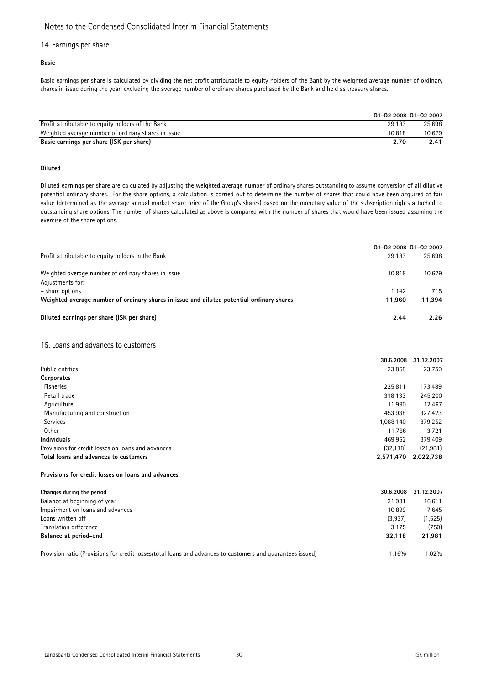### 14. Earnings per share

Basic

Basic earnings per share is calculated by dividing the net profit attributable to equity holders of the Bank by the weighted average number of ordinary shares in issue during the year, excluding the average number of ordinary shares purchased by the Bank and held as treasury shares.

|                                                     |        | Q1-Q2 2008 Q1-Q2 2007 |
|-----------------------------------------------------|--------|-----------------------|
| Profit attributable to equity holders of the Bank   | 29.183 | 25.698                |
| Weighted average number of ordinary shares in issue | 10.818 | 10.679                |
| Basic earnings per share (ISK per share)            | 2.70   | 2.41                  |

### Diluted

Diluted earnings per share are calculated by adjusting the weighted average number of ordinary shares outstanding to assume conversion of all dilutive potential ordinary shares. For the share options, a calculation is carried out to determine the number of shares that could have been acquired at fair value (determined as the average annual market share price of the Group's shares) based on the monetary value of the subscription rights attached to outstanding share options. The number of shares calculated as above is compared with the number of shares that would have been issued assuming the exercise of the share options.

|                                                                                           |        | Q1-Q2 2008 Q1-Q2 2007 |
|-------------------------------------------------------------------------------------------|--------|-----------------------|
| Profit attributable to equity holders in the Bank                                         | 29.183 | 25,698                |
| Weighted average number of ordinary shares in issue                                       | 10.818 | 10,679                |
| Adjustments for:                                                                          |        |                       |
| - share options                                                                           | 1.142  | 715                   |
| Weighted average number of ordinary shares in issue and diluted potential ordinary shares | 11.960 | 11.394                |
| Diluted earnings per share (ISK per share)                                                | 2.44   | 2.26                  |

### 15. Loans and advances to customers

|                                                    | 30.6.2008 | 31.12.2007 |
|----------------------------------------------------|-----------|------------|
| Public entities                                    | 23,858    | 23,759     |
| Corporates                                         |           |            |
| <b>Fisheries</b>                                   | 225,811   | 173,489    |
| Retail trade                                       | 318,133   | 245,200    |
| Agriculture                                        | 11,990    | 12,467     |
| Manufacturing and construction                     | 453,938   | 327,423    |
| Services                                           | 1,088,140 | 879,252    |
| <b>Other</b>                                       | 11,766    | 3,721      |
| <b>Individuals</b>                                 | 469,952   | 379,409    |
| Provisions for credit losses on loans and advances | (32, 118) | (21, 981)  |
| Total loans and advances to customers              | 2,571,470 | 2,022,738  |

### Provisions for credit losses on loans and advances

| Changes during the period                                                                                  | 30.6.2008 | 31.12.2007 |
|------------------------------------------------------------------------------------------------------------|-----------|------------|
| Balance at beginning of year                                                                               | 21.981    | 16.611     |
| Impairment on loans and advances                                                                           | 10.899    | 7.645      |
| Loans written off                                                                                          | (3,937)   | (1,525)    |
| Translation difference                                                                                     | 3.175     | (750)      |
| Balance at period-end                                                                                      | 32.118    | 21.981     |
| Provision ratio (Provisions for credit losses/total loans and advances to customers and quarantees issued) | 1.16%     | 1.02%      |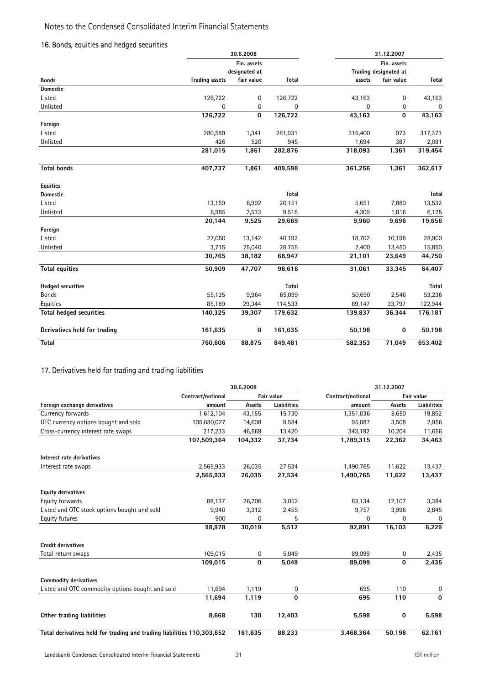### 16. Bonds, equities and hedged securities

|                                |                       | 30.6.2008     |         |             | 31.12.2007            |         |
|--------------------------------|-----------------------|---------------|---------|-------------|-----------------------|---------|
|                                |                       | Fin. assets   |         |             | Fin. assets           |         |
|                                |                       | designated at |         |             | Trading designated at |         |
| <b>Bonds</b>                   | <b>Trading assets</b> | fair value    | Total   | assets      | fair value            | Total   |
| <b>Domestic</b>                |                       |               |         |             |                       |         |
| Listed                         | 126,722               | 0             | 126,722 | 43,163      | $\mathsf{O}\xspace$   | 43,163  |
| Unlisted                       | 0                     | 0             | 0       | $\mathbf 0$ | 0                     | 0       |
|                                | 126,722               | $\mathbf 0$   | 126,722 | 43,163      | 0                     | 43,163  |
| Foreign                        |                       |               |         |             |                       |         |
| Listed                         | 280,589               | 1,341         | 281,931 | 316,400     | 973                   | 317,373 |
| Unlisted                       | 426                   | 520           | 945     | 1,694       | 387                   | 2,081   |
|                                | 281,015               | 1,861         | 282,876 | 318,093     | 1,361                 | 319,454 |
| <b>Total bonds</b>             | 407,737               | 1,861         | 409,598 | 361,256     | 1,361                 | 362,617 |
| <b>Equities</b>                |                       |               |         |             |                       |         |
| <b>Domestic</b>                |                       |               | Total   |             |                       | Total   |
| Listed                         | 13,159                | 6,992         | 20,151  | 5,651       | 7,880                 | 13,532  |
| Unlisted                       | 6,985                 | 2,533         | 9,518   | 4,309       | 1,816                 | 6,125   |
|                                | 20,144                | 9,525         | 29,669  | 9,960       | 9,696                 | 19,656  |
| Foreign                        |                       |               |         |             |                       |         |
| Listed                         | 27,050                | 13,142        | 40,192  | 18,702      | 10,198                | 28,900  |
| Unlisted                       | 3,715                 | 25,040        | 28,755  | 2,400       | 13,450                | 15,850  |
|                                | 30,765                | 38,182        | 68,947  | 21,101      | 23,649                | 44,750  |
| <b>Total equities</b>          | 50,909                | 47,707        | 98,616  | 31,061      | 33,345                | 64,407  |
| <b>Hedged securities</b>       |                       |               | Total   |             |                       | Total   |
| Bonds                          | 55,135                | 9,964         | 65,099  | 50,690      | 2,546                 | 53,236  |
| Equities                       | 85,189                | 29,344        | 114,533 | 89,147      | 33,797                | 122,944 |
| <b>Total hedged securities</b> | 140,325               | 39,307        | 179,632 | 139,837     | 36,344                | 176,181 |
| Derivatives held for trading   | 161,635               | $\bf{0}$      | 161,635 | 50,198      | $\bf{0}$              | 50,198  |
| Total                          | 760,606               | 88,875        | 849,481 | 582,353     | 71,049                | 653,402 |

### 17. Derivatives held for trading and trading liabilities

|                                                                        |                   | 30.6.2008    |                    | 31.12.2007        |              |             |  |
|------------------------------------------------------------------------|-------------------|--------------|--------------------|-------------------|--------------|-------------|--|
|                                                                        | Contract/notional |              | Fair value         | Contract/notional |              | Fair value  |  |
| Foreign exchange derivatives                                           | amount            | Assets       | <b>Liabilities</b> | amount            | Assets       | Liabilities |  |
| Currency forwards                                                      | 1,612,104         | 43,155       | 15,730             | 1,351,036         | 8,650        | 19,852      |  |
| OTC currency options bought and sold                                   | 105,680,027       | 14,608       | 8,584              | 95,087            | 3,508        | 2,956       |  |
| Cross-currency interest rate swaps                                     | 217,233           | 46,569       | 13,420             | 343,192           | 10,204       | 11,656      |  |
|                                                                        | 107,509,364       | 104,332      | 37,734             | 1,789,315         | 22,362       | 34,463      |  |
| Interest rate derivatives                                              |                   |              |                    |                   |              |             |  |
| Interest rate swaps                                                    | 2,565,933         | 26,035       | 27,534             | 1,490,765         | 11,622       | 13,437      |  |
|                                                                        | 2,565,933         | 26,035       | 27,534             | 1,490,765         | 11,622       | 13,437      |  |
| <b>Equity derivatives</b>                                              |                   |              |                    |                   |              |             |  |
| Equity forwards                                                        | 88,137            | 26,706       | 3,052              | 83,134            | 12,107       | 3,384       |  |
| Listed and OTC stock options bought and sold                           | 9,940             | 3,312        | 2,455              | 9,757             | 3,996        | 2,845       |  |
| Equity futures                                                         | 900               | 0            | 5                  | 0                 | 0            | 0           |  |
|                                                                        | 98,978            | 30,019       | 5,512              | 92,891            | 16,103       | 6,229       |  |
| <b>Credit derivatives</b>                                              |                   |              |                    |                   |              |             |  |
| Total return swaps                                                     | 109,015           | 0            | 5,049              | 89,099            | 0            | 2,435       |  |
|                                                                        | 109,015           | $\mathbf{0}$ | 5,049              | 89,099            | $\mathbf{0}$ | 2,435       |  |
| <b>Commodity derivatives</b>                                           |                   |              |                    |                   |              |             |  |
| Listed and OTC commodity options bought and sold                       | 11,694            | 1,119        | 0                  | 695               | 110          | 0           |  |
|                                                                        | 11,694            | 1,119        | $\mathbf 0$        | 695               | 110          | $\mathbf 0$ |  |
| Other trading liabilities                                              | 8,668             | 130          | 12,403             | 5,598             | $\bf{0}$     | 5,598       |  |
| Total derivatives held for trading and trading liabilities 110,303,652 |                   | 161,635      | 88,233             | 3,468,364         | 50,198       | 62,161      |  |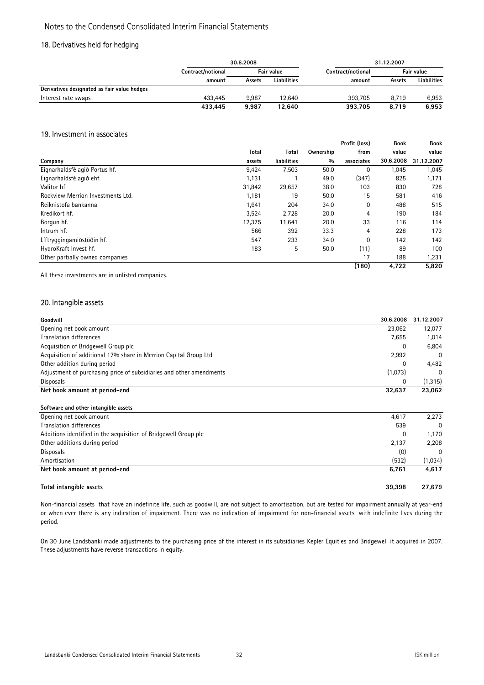### 18. Derivatives held for hedging

|                                             | 30.6.2008         |        |             | 31.12.2007        |        |                    |
|---------------------------------------------|-------------------|--------|-------------|-------------------|--------|--------------------|
|                                             | Contract/notional |        | Fair value  | Contract/notional |        | Fair value         |
|                                             | amount            | Assets | Liabilities | amount            | Assets | <b>Liabilities</b> |
| Derivatives designated as fair value hedges |                   |        |             |                   |        |                    |
| Interest rate swaps                         | 433.445           | 9.987  | 12.640      | 393.705           | 8.719  | 6,953              |
|                                             | 433.445           | 9.987  | 12.640      | 393.705           | 8.719  | 6,953              |

### 19. Investment in associates

|                                   |              |             |           | Profit (loss) | <b>Book</b> | <b>Book</b> |
|-----------------------------------|--------------|-------------|-----------|---------------|-------------|-------------|
|                                   | <b>Total</b> | Total       | Ownership | from          | value       | value       |
| Company                           | assets       | liabilities | 0/0       | associates    | 30.6.2008   | 31.12.2007  |
| Eignarhaldsfélagið Portus hf.     | 9,424        | 7,503       | 50.0      | 0             | 1,045       | 1,045       |
| Eignarhaldsfélagið ehf.           | 1,131        |             | 49.0      | (347)         | 825         | 1,171       |
| Valitor hf.                       | 31,842       | 29,657      | 38.0      | 103           | 830         | 728         |
| Rockview Merrion Investments Ltd. | 1,181        | 19          | 50.0      | 15            | 581         | 416         |
| Reiknistofa bankanna              | 1,641        | 204         | 34.0      | $\Omega$      | 488         | 515         |
| Kredikort hf.                     | 3,524        | 2,728       | 20.0      | 4             | 190         | 184         |
| Borgun hf.                        | 12,375       | 11,641      | 20.0      | 33            | 116         | 114         |
| Intrum hf.                        | 566          | 392         | 33.3      | 4             | 228         | 173         |
| Líftryggingamiðstöðin hf.         | 547          | 233         | 34.0      | $\Omega$      | 142         | 142         |
| HydroKraft Invest hf.             | 183          | 5           | 50.0      | (11)          | 89          | 100         |
| Other partially owned companies   |              |             |           | 17            | 188         | 1,231       |
|                                   |              |             |           | (180)         | 4,722       | 5,820       |

All these investments are in unlisted companies.

### 20. Intangible assets

| Goodwill                                                            | 30.6.2008 | 31.12.2007 |
|---------------------------------------------------------------------|-----------|------------|
| Opening net book amount                                             | 23.062    | 12,077     |
| Translation differences                                             | 7,655     | 1,014      |
| Acquisition of Bridgewell Group plc                                 | 0         | 6,804      |
| Acquisition of additional 17% share in Merrion Capital Group Ltd.   | 2,992     | $\Omega$   |
| Other addition during period                                        | O         | 4,482      |
| Adjustment of purchasing price of subsidiaries and other amendments | (1,073)   | $\Omega$   |
| Disposals                                                           | 0         | (1, 315)   |
| Net book amount at period-end                                       | 32.637    | 23,062     |
| Software and other intangible assets                                |           |            |
| Opening net book amount                                             | 4,617     | 2.273      |

| Total intangible assets                                         | 39.398 | 27.679   |
|-----------------------------------------------------------------|--------|----------|
| Net book amount at period-end                                   | 6.761  | 4,617    |
| Amortisation                                                    | (532)  | (1,034)  |
| Disposals                                                       | (0)    | $\Omega$ |
| Other additions during period                                   | 2,137  | 2,208    |
| Additions identified in the acquisition of Bridgewell Group plc |        | 1,170    |
| Translation differences                                         | 539    | $\Omega$ |
| Opening net book amount                                         | 4,61/  | 2.213    |

Non-financial assets that have an indefinite life, such as goodwill, are not subject to amortisation, but are tested for impairment annually at year-end or when ever there is any indication of impairment. There was no indication of impairment for non-financial assets with indefinite lives during the period.

On 30 June Landsbanki made adjustments to the purchasing price of the interest in its subsidiaries Kepler Equities and Bridgewell it acquired in 2007. These adjustments have reverse transactions in equity.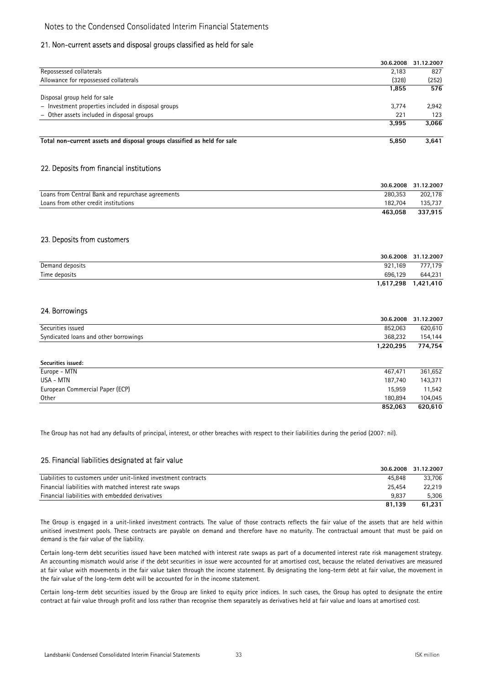### 21. Non-current assets and disposal groups classified as held for sale

|                                                                          | 30.6.2008 | 31.12.2007 |
|--------------------------------------------------------------------------|-----------|------------|
| Repossessed collaterals                                                  | 2,183     | 827        |
| Allowance for repossessed collaterals                                    | (328)     | (252)      |
|                                                                          | 1,855     | 576        |
| Disposal group held for sale                                             |           |            |
| - Investment properties included in disposal groups                      | 3.774     | 2,942      |
| - Other assets included in disposal groups                               | 221       | 123        |
|                                                                          | 3.995     | 3,066      |
| Total non-current assets and disposal groups classified as held for sale | 5.850     | 3,641      |

### 22. Deposits from financial institutions

|                                                   |         | 30.6.2008 31.12.2007 |
|---------------------------------------------------|---------|----------------------|
| Loans from Central Bank and repurchase agreements | 280.353 | 202.178              |
| Loans from other credit institutions              | 182.704 | 135.737              |
|                                                   | 463.058 | 337.915              |

### 23. Deposits from customers

|                 | 30.6.2008 | 31.12.2007 |
|-----------------|-----------|------------|
| Demand deposits | 921.169   | 777,179    |
| Time deposits   | 696,129   | 644,231    |
|                 | 1,617,298 | 1,421,410  |

### 24. Borrowings

|                                       | 30.6.2008 | 31.12.2007 |
|---------------------------------------|-----------|------------|
| Securities issued                     | 852,063   | 620,610    |
| Syndicated loans and other borrowings | 368,232   | 154,144    |
|                                       | 1,220,295 | 774,754    |
| Securities issued:                    |           |            |
| Europe - MTN                          | 467,471   | 361,652    |
| USA - MTN                             | 187,740   | 143,371    |
| European Commercial Paper (ECP)       | 15,959    | 11,542     |
| Other                                 | 180,894   | 104,045    |
|                                       | 852,063   | 620,610    |

The Group has not had any defaults of principal, interest, or other breaches with respect to their liabilities during the period (2007: nil).

### 25. Financial liabilities designated at fair value

|                                                                 | 30.6.2008 | 31.12.2007 |
|-----------------------------------------------------------------|-----------|------------|
| Liabilities to customers under unit-linked investment contracts | 45.848    | 33,706     |
| Financial liabilities with matched interest rate swaps          | 25.454    | 22.219     |
| Financial liabilities with embedded derivatives                 | 9.837     | 5.306      |
|                                                                 | 81.139    | 61.231     |

The Group is engaged in a unit-linked investment contracts. The value of those contracts reflects the fair value of the assets that are held within unitised investment pools. These contracts are payable on demand and therefore have no maturity. The contractual amount that must be paid on demand is the fair value of the liability.

Certain long-term debt securities issued have been matched with interest rate swaps as part of a documented interest rate risk management strategy. An accounting mismatch would arise if the debt securities in issue were accounted for at amortised cost, because the related derivatives are measured at fair value with movements in the fair value taken through the income statement. By designating the long-term debt at fair value, the movement in the fair value of the long-term debt will be accounted for in the income statement.

Certain long-term debt securities issued by the Group are linked to equity price indices. In such cases, the Group has opted to designate the entire contract at fair value through profit and loss rather than recognise them separately as derivatives held at fair value and loans at amortised cost.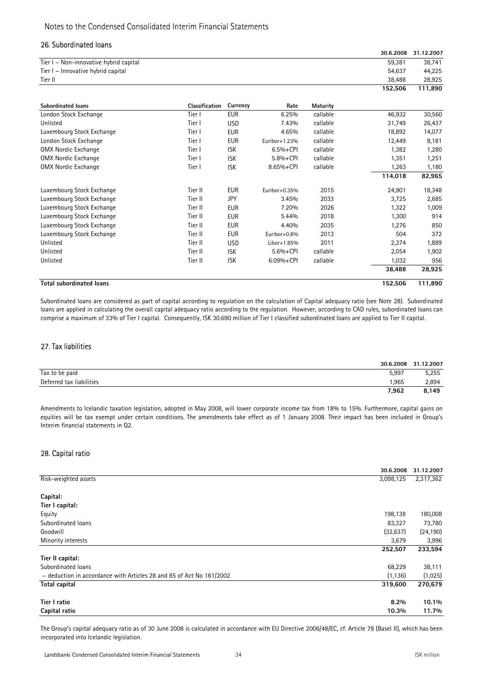### 26. Subordinated loans

|                                        |                |            |               |          | 30.6.2008 | 31.12.2007 |
|----------------------------------------|----------------|------------|---------------|----------|-----------|------------|
| Tier I - Non-innovative hybrid capital |                |            |               |          | 59,381    | 38,741     |
| Tier I - Innovative hybrid capital     |                |            |               |          | 54,637    | 44,225     |
| Tier II                                |                |            |               |          | 38,488    | 28,925     |
|                                        |                |            |               |          | 152,506   | 111,890    |
| <b>Subordinated loans</b>              | Classification | Currency   | Rate          | Maturity |           |            |
| London Stock Exchange                  | Tier I         | <b>EUR</b> | 6.25%         | callable | 46,932    | 30,560     |
| Unlisted                               | Tier I         | <b>USD</b> | 7.43%         | callable | 31,749    | 26,437     |
| Luxembourg Stock Exchange              | Tier I         | <b>EUR</b> | 4.65%         | callable | 18,892    | 14,077     |
| London Stock Exchange                  | Tier I         | <b>EUR</b> | Euribor+1.23% | callable | 12,449    | 8,181      |
| <b>OMX Nordic Exchange</b>             | Tier I         | <b>ISK</b> | $6.5% + CPI$  | callable | 1,382     | 1,280      |
| <b>OMX Nordic Exchange</b>             | Tier I         | <b>ISK</b> | 5.8%+CPI      | callable | 1,351     | 1,251      |
| <b>OMX Nordic Exchange</b>             | Tier I         | <b>ISK</b> | 8.65%+CPI     | callable | 1,263     | 1,180      |
|                                        |                |            |               |          | 114,018   | 82,965     |
| Luxembourg Stock Exchange              | Tier II        | <b>EUR</b> | Euribor+0.35% | 2015     | 24,901    | 18,348     |
| Luxembourg Stock Exchange              | Tier II        | <b>JPY</b> | 3.45%         | 2033     | 3,725     | 2,685      |
| Luxembourg Stock Exchange              | Tier II        | <b>EUR</b> | 7.20%         | 2026     | 1,322     | 1,009      |
| Luxembourg Stock Exchange              | Tier II        | <b>EUR</b> | 5.44%         | 2018     | 1,300     | 914        |
| Luxembourg Stock Exchange              | Tier II        | <b>EUR</b> | 4.40%         | 2035     | 1,276     | 850        |
| Luxembourg Stock Exchange              | Tier II        | <b>EUR</b> | Euribor+0.8%  | 2013     | 504       | 372        |
| Unlisted                               | Tier II        | <b>USD</b> | Libor+1.85%   | 2011     | 2,374     | 1,889      |
| Unlisted                               | Tier II        | <b>ISK</b> | 5.6%+CPI      | callable | 2,054     | 1,902      |
| Unlisted                               | Tier II        | <b>ISK</b> | $6.09% + CPI$ | callable | 1,032     | 956        |
|                                        |                |            |               |          | 38,488    | 28,925     |
| <b>Total subordinated loans</b>        |                |            |               |          | 152.506   | 111.890    |

Subordinated loans are considered as part of capital according to regulation on the calculation of Capital adequacy ratio (see Note 28). Subordinated loans are applied in calculating the overall capital adequacy ratio according to the regulation. However, according to CAD rules, subordinated loans can comprise a maximum of 33% of Tier I capital. Consequently, ISK 30.690 million of Tier I classified subordinated loans are applied to Tier II capital.

### 27. Tax liabilities

|                          |       | 30.6.2008 31.12.2007 |
|--------------------------|-------|----------------------|
| Tax to be paid           | 5,997 | 5,255                |
| Deferred tax liabilities | .965  | 2,894                |
|                          | 7,962 | 8,149                |

Amendments to Icelandic taxation legislation, adopted in May 2008, will lower corporate income tax from 18% to 15%. Furthermore, capital gains on equities will be tax exempt under certain conditions. The amendments take effect as of 1 January 2008. Their impact has been included in Group's Interim financial statements in Q2.

### 28. Capital ratio

|                                                                      | 30.6.2008 | 31.12.2007 |
|----------------------------------------------------------------------|-----------|------------|
| Risk-weighted assets                                                 | 3,098,125 | 2,317,362  |
|                                                                      |           |            |
| Capital:                                                             |           |            |
| Tier I capital:                                                      |           |            |
| Equity                                                               | 198,138   | 180,008    |
| Subordinated loans                                                   | 83,327    | 73,780     |
| Goodwill                                                             | (32, 637) | (24, 190)  |
| Minority interests                                                   | 3,679     | 3,996      |
|                                                                      | 252,507   | 233,594    |
| Tier II capital:                                                     |           |            |
| Subordinated loans                                                   | 68,229    | 38,111     |
| - deduction in accordance with Articles 28 and 85 of Act No 161/2002 | (1, 136)  | (1,025)    |
| <b>Total capital</b>                                                 | 319,600   | 270,679    |
| Tier I ratio                                                         | 8.2%      | 10.1%      |
| Capital ratio                                                        | 10.3%     | 11.7%      |

The Group's capital adequacy ratio as of 30 June 2008 is calculated in accordance with EU Directive 2006/48/EC, cf. Article 78 (Basel II), which has been incorporated into Icelandic legislation.